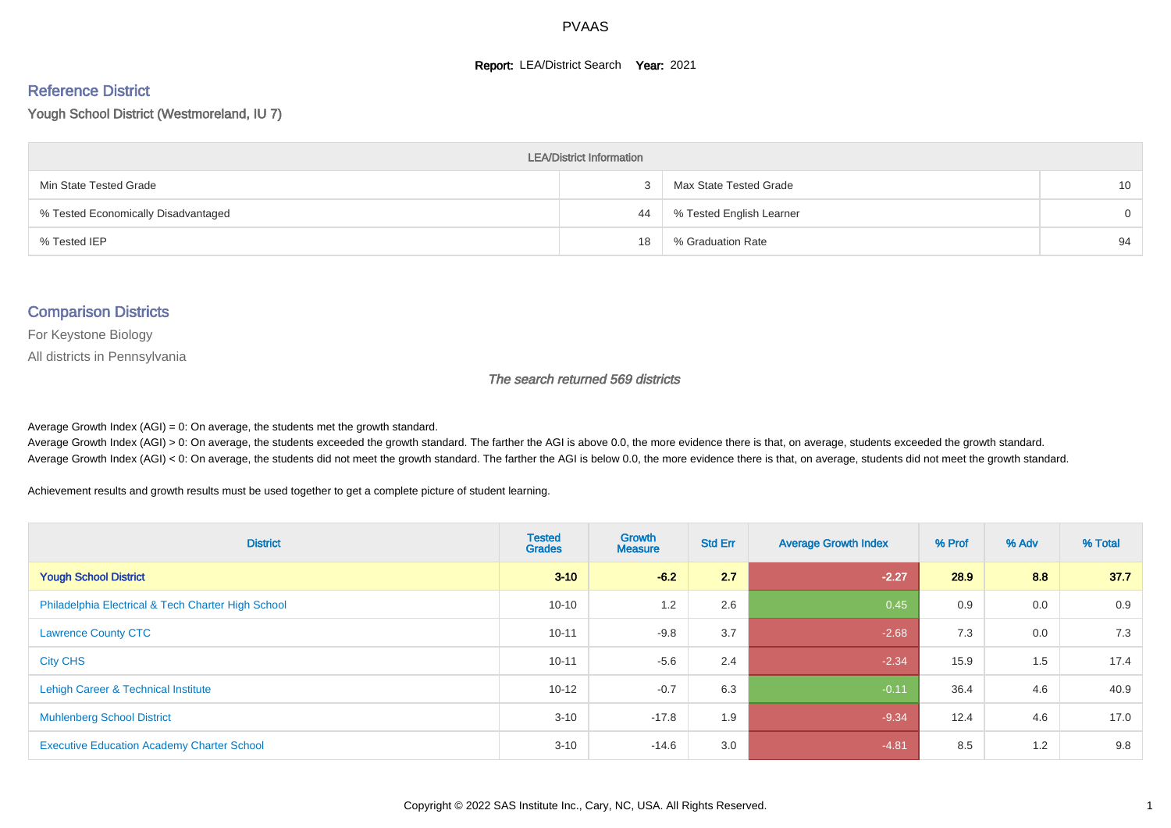#### **Report: LEA/District Search Year: 2021**

# Reference District

Yough School District (Westmoreland, IU 7)

| <b>LEA/District Information</b>     |    |                          |                 |  |  |  |  |  |  |  |
|-------------------------------------|----|--------------------------|-----------------|--|--|--|--|--|--|--|
| Min State Tested Grade              |    | Max State Tested Grade   | 10 <sup>°</sup> |  |  |  |  |  |  |  |
| % Tested Economically Disadvantaged | 44 | % Tested English Learner | $\Omega$        |  |  |  |  |  |  |  |
| % Tested IEP                        | 18 | % Graduation Rate        | 94              |  |  |  |  |  |  |  |

#### Comparison Districts

For Keystone Biology

All districts in Pennsylvania

The search returned 569 districts

Average Growth Index  $(AGI) = 0$ : On average, the students met the growth standard.

Average Growth Index (AGI) > 0: On average, the students exceeded the growth standard. The farther the AGI is above 0.0, the more evidence there is that, on average, students exceeded the growth standard. Average Growth Index (AGI) < 0: On average, the students did not meet the growth standard. The farther the AGI is below 0.0, the more evidence there is that, on average, students did not meet the growth standard.

Achievement results and growth results must be used together to get a complete picture of student learning.

| <b>District</b>                                    | <b>Tested</b><br><b>Grades</b> | Growth<br><b>Measure</b> | <b>Std Err</b> | <b>Average Growth Index</b> | % Prof | % Adv | % Total |
|----------------------------------------------------|--------------------------------|--------------------------|----------------|-----------------------------|--------|-------|---------|
| <b>Yough School District</b>                       | $3 - 10$                       | $-6.2$                   | 2.7            | $-2.27$                     | 28.9   | 8.8   | 37.7    |
| Philadelphia Electrical & Tech Charter High School | $10 - 10$                      | 1.2                      | 2.6            | 0.45                        | 0.9    | 0.0   | 0.9     |
| <b>Lawrence County CTC</b>                         | $10 - 11$                      | $-9.8$                   | 3.7            | $-2.68$                     | 7.3    | 0.0   | 7.3     |
| <b>City CHS</b>                                    | $10 - 11$                      | $-5.6$                   | 2.4            | $-2.34$                     | 15.9   | 1.5   | 17.4    |
| Lehigh Career & Technical Institute                | $10 - 12$                      | $-0.7$                   | 6.3            | $-0.11$                     | 36.4   | 4.6   | 40.9    |
| <b>Muhlenberg School District</b>                  | $3 - 10$                       | $-17.8$                  | 1.9            | $-9.34$                     | 12.4   | 4.6   | 17.0    |
| <b>Executive Education Academy Charter School</b>  | $3 - 10$                       | $-14.6$                  | 3.0            | $-4.81$                     | 8.5    | 1.2   | 9.8     |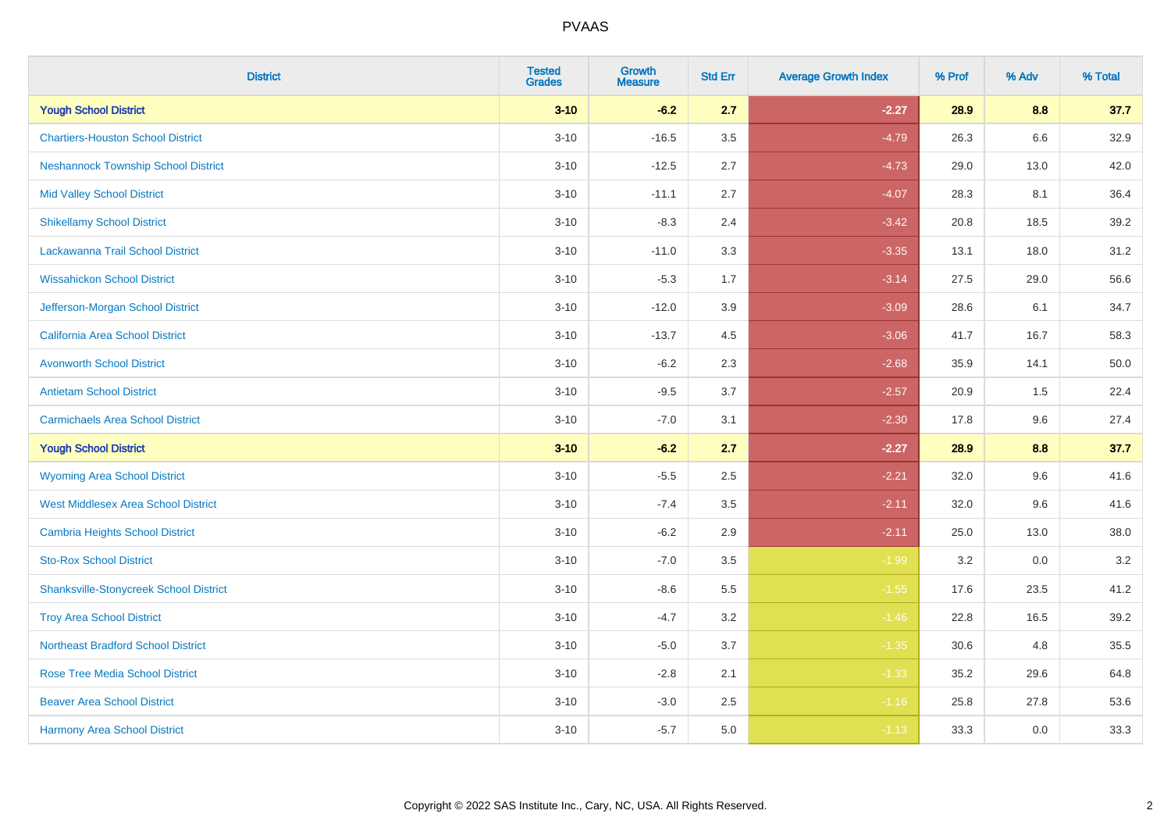| <b>District</b>                               | <b>Tested</b><br><b>Grades</b> | <b>Growth</b><br><b>Measure</b> | <b>Std Err</b> | <b>Average Growth Index</b> | % Prof | % Adv | % Total |
|-----------------------------------------------|--------------------------------|---------------------------------|----------------|-----------------------------|--------|-------|---------|
| <b>Yough School District</b>                  | $3 - 10$                       | $-6.2$                          | 2.7            | $-2.27$                     | 28.9   | 8.8   | 37.7    |
| <b>Chartiers-Houston School District</b>      | $3 - 10$                       | $-16.5$                         | 3.5            | $-4.79$                     | 26.3   | 6.6   | 32.9    |
| <b>Neshannock Township School District</b>    | $3 - 10$                       | $-12.5$                         | 2.7            | $-4.73$                     | 29.0   | 13.0  | 42.0    |
| <b>Mid Valley School District</b>             | $3 - 10$                       | $-11.1$                         | 2.7            | $-4.07$                     | 28.3   | 8.1   | 36.4    |
| <b>Shikellamy School District</b>             | $3 - 10$                       | $-8.3$                          | 2.4            | $-3.42$                     | 20.8   | 18.5  | 39.2    |
| Lackawanna Trail School District              | $3 - 10$                       | $-11.0$                         | 3.3            | $-3.35$                     | 13.1   | 18.0  | 31.2    |
| <b>Wissahickon School District</b>            | $3 - 10$                       | $-5.3$                          | 1.7            | $-3.14$                     | 27.5   | 29.0  | 56.6    |
| Jefferson-Morgan School District              | $3 - 10$                       | $-12.0$                         | 3.9            | $-3.09$                     | 28.6   | 6.1   | 34.7    |
| California Area School District               | $3 - 10$                       | $-13.7$                         | 4.5            | $-3.06$                     | 41.7   | 16.7  | 58.3    |
| <b>Avonworth School District</b>              | $3 - 10$                       | $-6.2$                          | $2.3\,$        | $-2.68$                     | 35.9   | 14.1  | 50.0    |
| <b>Antietam School District</b>               | $3 - 10$                       | $-9.5$                          | 3.7            | $-2.57$                     | 20.9   | 1.5   | 22.4    |
| <b>Carmichaels Area School District</b>       | $3 - 10$                       | $-7.0$                          | 3.1            | $-2.30$                     | 17.8   | 9.6   | 27.4    |
| <b>Yough School District</b>                  | $3 - 10$                       | $-6.2$                          | 2.7            | $-2.27$                     | 28.9   | 8.8   | 37.7    |
| <b>Wyoming Area School District</b>           | $3 - 10$                       | $-5.5$                          | 2.5            | $-2.21$                     | 32.0   | 9.6   | 41.6    |
| <b>West Middlesex Area School District</b>    | $3 - 10$                       | $-7.4$                          | 3.5            | $-2.11$                     | 32.0   | 9.6   | 41.6    |
| <b>Cambria Heights School District</b>        | $3 - 10$                       | $-6.2$                          | 2.9            | $-2.11$                     | 25.0   | 13.0  | 38.0    |
| <b>Sto-Rox School District</b>                | $3 - 10$                       | $-7.0$                          | 3.5            | $-1.99$                     | 3.2    | 0.0   | $3.2\,$ |
| <b>Shanksville-Stonycreek School District</b> | $3 - 10$                       | $-8.6$                          | 5.5            | $-1.55$                     | 17.6   | 23.5  | 41.2    |
| <b>Troy Area School District</b>              | $3 - 10$                       | $-4.7$                          | 3.2            | $-1.46$                     | 22.8   | 16.5  | 39.2    |
| <b>Northeast Bradford School District</b>     | $3 - 10$                       | $-5.0$                          | 3.7            | $-1.35$                     | 30.6   | 4.8   | 35.5    |
| <b>Rose Tree Media School District</b>        | $3 - 10$                       | $-2.8$                          | 2.1            | $-1.33$                     | 35.2   | 29.6  | 64.8    |
| <b>Beaver Area School District</b>            | $3 - 10$                       | $-3.0$                          | 2.5            | $-1.16$                     | 25.8   | 27.8  | 53.6    |
| <b>Harmony Area School District</b>           | $3 - 10$                       | $-5.7$                          | 5.0            | $-1.13$                     | 33.3   | 0.0   | 33.3    |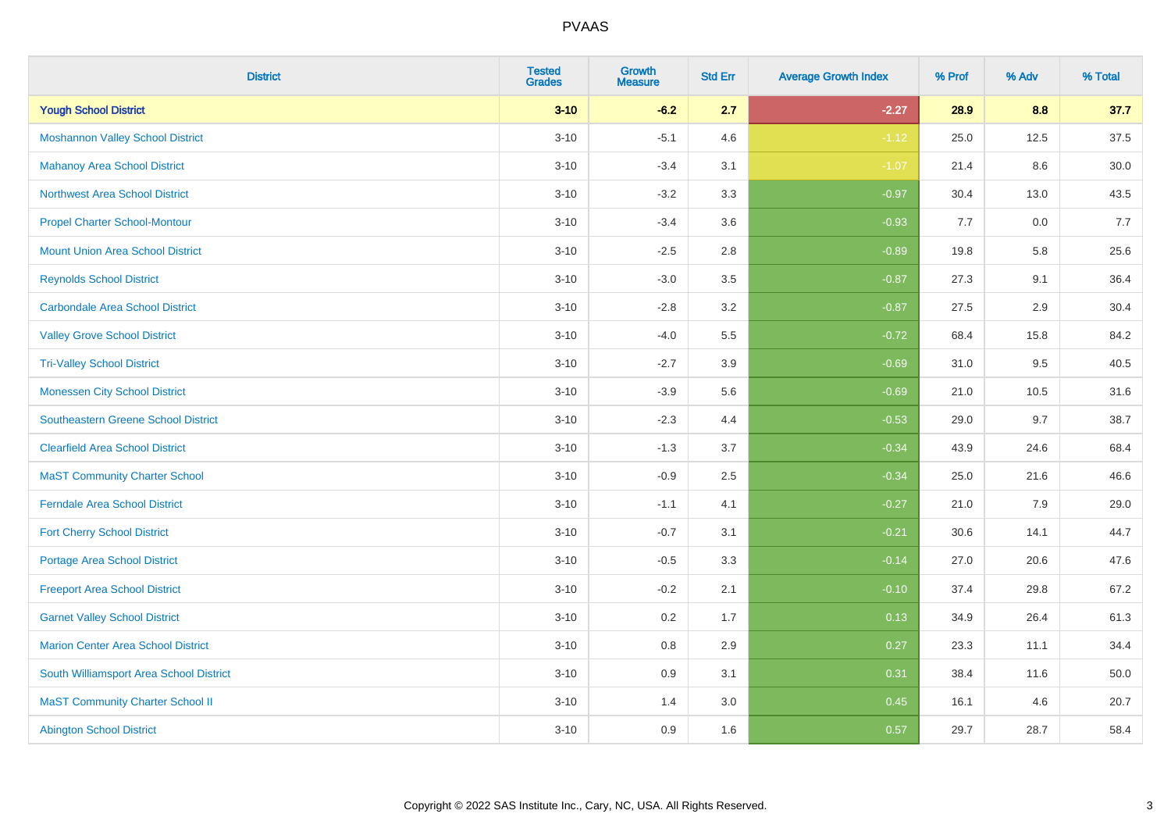| <b>District</b>                            | <b>Tested</b><br><b>Grades</b> | <b>Growth</b><br><b>Measure</b> | <b>Std Err</b> | <b>Average Growth Index</b> | % Prof | % Adv | % Total |
|--------------------------------------------|--------------------------------|---------------------------------|----------------|-----------------------------|--------|-------|---------|
| <b>Yough School District</b>               | $3 - 10$                       | $-6.2$                          | 2.7            | $-2.27$                     | 28.9   | 8.8   | 37.7    |
| <b>Moshannon Valley School District</b>    | $3 - 10$                       | $-5.1$                          | 4.6            | $-1.12$                     | 25.0   | 12.5  | 37.5    |
| <b>Mahanoy Area School District</b>        | $3 - 10$                       | $-3.4$                          | 3.1            | $-1.07$                     | 21.4   | 8.6   | 30.0    |
| <b>Northwest Area School District</b>      | $3 - 10$                       | $-3.2$                          | 3.3            | $-0.97$                     | 30.4   | 13.0  | 43.5    |
| <b>Propel Charter School-Montour</b>       | $3 - 10$                       | $-3.4$                          | 3.6            | $-0.93$                     | 7.7    | 0.0   | 7.7     |
| <b>Mount Union Area School District</b>    | $3 - 10$                       | $-2.5$                          | 2.8            | $-0.89$                     | 19.8   | 5.8   | 25.6    |
| <b>Reynolds School District</b>            | $3 - 10$                       | $-3.0$                          | 3.5            | $-0.87$                     | 27.3   | 9.1   | 36.4    |
| <b>Carbondale Area School District</b>     | $3 - 10$                       | $-2.8$                          | 3.2            | $-0.87$                     | 27.5   | 2.9   | 30.4    |
| <b>Valley Grove School District</b>        | $3 - 10$                       | $-4.0$                          | 5.5            | $-0.72$                     | 68.4   | 15.8  | 84.2    |
| <b>Tri-Valley School District</b>          | $3 - 10$                       | $-2.7$                          | 3.9            | $-0.69$                     | 31.0   | 9.5   | 40.5    |
| <b>Monessen City School District</b>       | $3 - 10$                       | $-3.9$                          | 5.6            | $-0.69$                     | 21.0   | 10.5  | 31.6    |
| <b>Southeastern Greene School District</b> | $3 - 10$                       | $-2.3$                          | 4.4            | $-0.53$                     | 29.0   | 9.7   | 38.7    |
| <b>Clearfield Area School District</b>     | $3 - 10$                       | $-1.3$                          | 3.7            | $-0.34$                     | 43.9   | 24.6  | 68.4    |
| <b>MaST Community Charter School</b>       | $3 - 10$                       | $-0.9$                          | 2.5            | $-0.34$                     | 25.0   | 21.6  | 46.6    |
| <b>Ferndale Area School District</b>       | $3 - 10$                       | $-1.1$                          | 4.1            | $-0.27$                     | 21.0   | 7.9   | 29.0    |
| <b>Fort Cherry School District</b>         | $3 - 10$                       | $-0.7$                          | 3.1            | $-0.21$                     | 30.6   | 14.1  | 44.7    |
| <b>Portage Area School District</b>        | $3 - 10$                       | $-0.5$                          | 3.3            | $-0.14$                     | 27.0   | 20.6  | 47.6    |
| <b>Freeport Area School District</b>       | $3 - 10$                       | $-0.2$                          | 2.1            | $-0.10$                     | 37.4   | 29.8  | 67.2    |
| <b>Garnet Valley School District</b>       | $3 - 10$                       | 0.2                             | 1.7            | 0.13                        | 34.9   | 26.4  | 61.3    |
| Marion Center Area School District         | $3 - 10$                       | 0.8                             | 2.9            | 0.27                        | 23.3   | 11.1  | 34.4    |
| South Williamsport Area School District    | $3 - 10$                       | 0.9                             | 3.1            | 0.31                        | 38.4   | 11.6  | 50.0    |
| <b>MaST Community Charter School II</b>    | $3 - 10$                       | 1.4                             | 3.0            | 0.45                        | 16.1   | 4.6   | 20.7    |
| <b>Abington School District</b>            | $3 - 10$                       | 0.9                             | 1.6            | 0.57                        | 29.7   | 28.7  | 58.4    |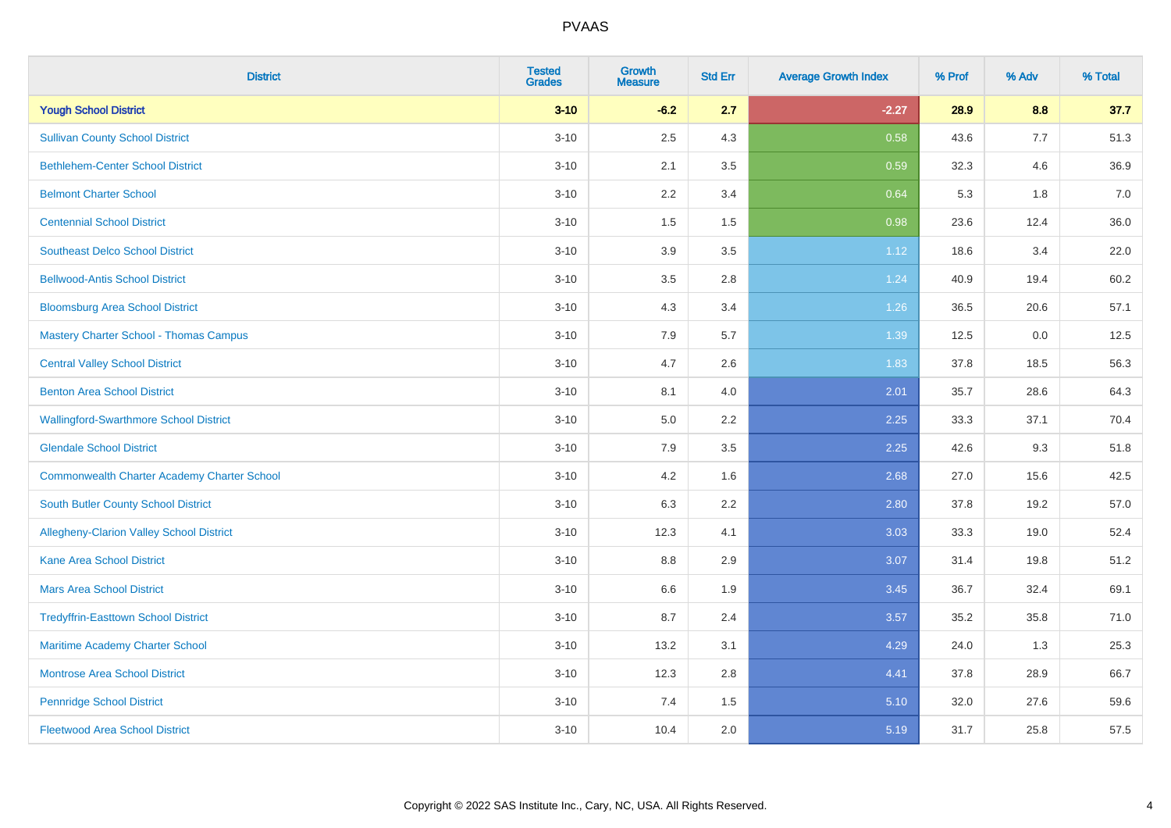| <b>District</b>                                    | <b>Tested</b><br><b>Grades</b> | <b>Growth</b><br><b>Measure</b> | <b>Std Err</b> | <b>Average Growth Index</b> | % Prof | % Adv | % Total |
|----------------------------------------------------|--------------------------------|---------------------------------|----------------|-----------------------------|--------|-------|---------|
| <b>Yough School District</b>                       | $3 - 10$                       | $-6.2$                          | 2.7            | $-2.27$                     | 28.9   | 8.8   | 37.7    |
| <b>Sullivan County School District</b>             | $3 - 10$                       | 2.5                             | 4.3            | 0.58                        | 43.6   | 7.7   | 51.3    |
| <b>Bethlehem-Center School District</b>            | $3 - 10$                       | 2.1                             | 3.5            | 0.59                        | 32.3   | 4.6   | 36.9    |
| <b>Belmont Charter School</b>                      | $3 - 10$                       | 2.2                             | 3.4            | 0.64                        | 5.3    | 1.8   | 7.0     |
| <b>Centennial School District</b>                  | $3 - 10$                       | 1.5                             | 1.5            | 0.98                        | 23.6   | 12.4  | 36.0    |
| <b>Southeast Delco School District</b>             | $3 - 10$                       | 3.9                             | 3.5            | 1.12                        | 18.6   | 3.4   | 22.0    |
| <b>Bellwood-Antis School District</b>              | $3 - 10$                       | $3.5\,$                         | 2.8            | 1.24                        | 40.9   | 19.4  | 60.2    |
| <b>Bloomsburg Area School District</b>             | $3 - 10$                       | 4.3                             | 3.4            | 1.26                        | 36.5   | 20.6  | 57.1    |
| <b>Mastery Charter School - Thomas Campus</b>      | $3 - 10$                       | 7.9                             | 5.7            | 1.39                        | 12.5   | 0.0   | 12.5    |
| <b>Central Valley School District</b>              | $3 - 10$                       | 4.7                             | 2.6            | 1.83                        | 37.8   | 18.5  | 56.3    |
| <b>Benton Area School District</b>                 | $3 - 10$                       | 8.1                             | 4.0            | 2.01                        | 35.7   | 28.6  | 64.3    |
| <b>Wallingford-Swarthmore School District</b>      | $3 - 10$                       | $5.0\,$                         | 2.2            | 2.25                        | 33.3   | 37.1  | 70.4    |
| <b>Glendale School District</b>                    | $3 - 10$                       | 7.9                             | 3.5            | 2.25                        | 42.6   | 9.3   | 51.8    |
| <b>Commonwealth Charter Academy Charter School</b> | $3 - 10$                       | 4.2                             | 1.6            | 2.68                        | 27.0   | 15.6  | 42.5    |
| <b>South Butler County School District</b>         | $3 - 10$                       | 6.3                             | 2.2            | 2.80                        | 37.8   | 19.2  | 57.0    |
| <b>Allegheny-Clarion Valley School District</b>    | $3 - 10$                       | 12.3                            | 4.1            | 3.03                        | 33.3   | 19.0  | 52.4    |
| <b>Kane Area School District</b>                   | $3 - 10$                       | 8.8                             | 2.9            | 3.07                        | 31.4   | 19.8  | 51.2    |
| <b>Mars Area School District</b>                   | $3 - 10$                       | 6.6                             | 1.9            | 3.45                        | 36.7   | 32.4  | 69.1    |
| <b>Tredyffrin-Easttown School District</b>         | $3 - 10$                       | 8.7                             | 2.4            | 3.57                        | 35.2   | 35.8  | 71.0    |
| Maritime Academy Charter School                    | $3 - 10$                       | 13.2                            | 3.1            | 4.29                        | 24.0   | 1.3   | 25.3    |
| <b>Montrose Area School District</b>               | $3 - 10$                       | 12.3                            | 2.8            | 4.41                        | 37.8   | 28.9  | 66.7    |
| <b>Pennridge School District</b>                   | $3 - 10$                       | 7.4                             | 1.5            | 5.10                        | 32.0   | 27.6  | 59.6    |
| <b>Fleetwood Area School District</b>              | $3 - 10$                       | 10.4                            | 2.0            | 5.19                        | 31.7   | 25.8  | 57.5    |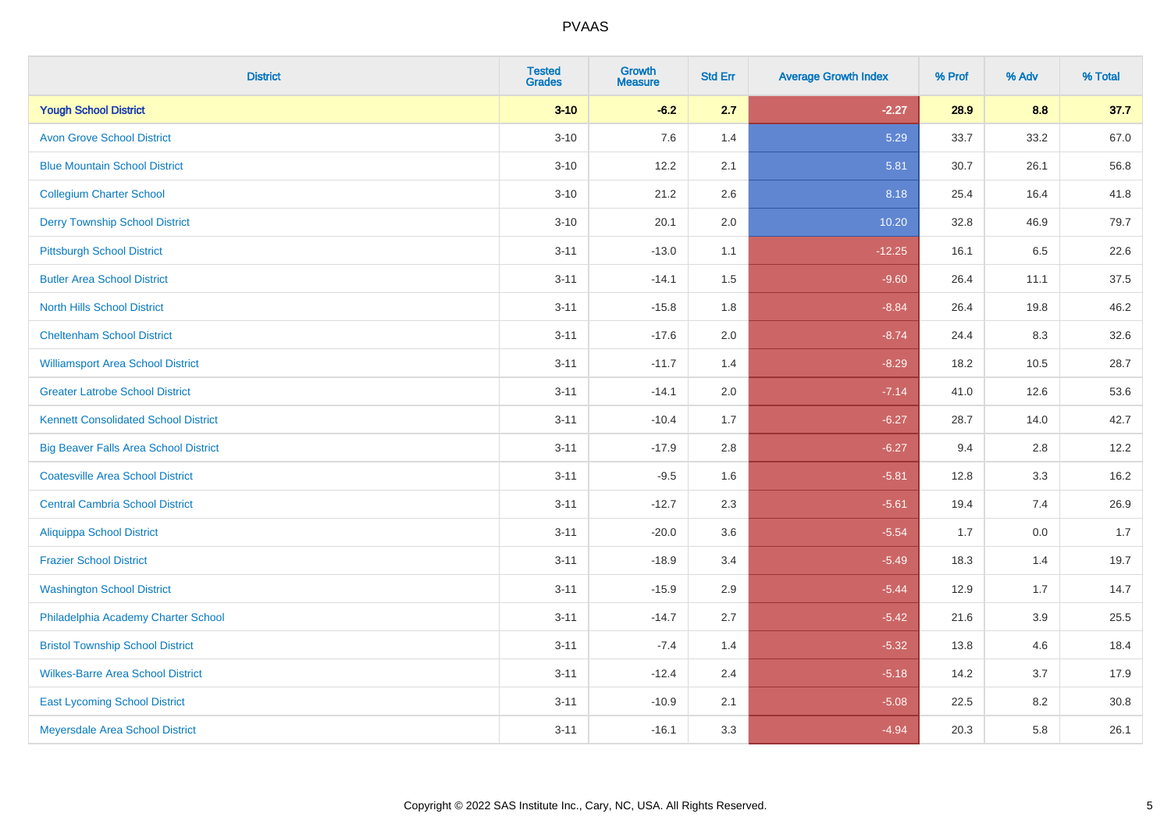| <b>District</b>                              | <b>Tested</b><br><b>Grades</b> | Growth<br><b>Measure</b> | <b>Std Err</b> | <b>Average Growth Index</b> | % Prof | % Adv | % Total |
|----------------------------------------------|--------------------------------|--------------------------|----------------|-----------------------------|--------|-------|---------|
| <b>Yough School District</b>                 | $3 - 10$                       | $-6.2$                   | 2.7            | $-2.27$                     | 28.9   | 8.8   | 37.7    |
| <b>Avon Grove School District</b>            | $3 - 10$                       | 7.6                      | 1.4            | 5.29                        | 33.7   | 33.2  | 67.0    |
| <b>Blue Mountain School District</b>         | $3 - 10$                       | 12.2                     | 2.1            | 5.81                        | 30.7   | 26.1  | 56.8    |
| <b>Collegium Charter School</b>              | $3 - 10$                       | 21.2                     | 2.6            | 8.18                        | 25.4   | 16.4  | 41.8    |
| <b>Derry Township School District</b>        | $3 - 10$                       | 20.1                     | 2.0            | 10.20                       | 32.8   | 46.9  | 79.7    |
| <b>Pittsburgh School District</b>            | $3 - 11$                       | $-13.0$                  | 1.1            | $-12.25$                    | 16.1   | 6.5   | 22.6    |
| <b>Butler Area School District</b>           | $3 - 11$                       | $-14.1$                  | 1.5            | $-9.60$                     | 26.4   | 11.1  | 37.5    |
| <b>North Hills School District</b>           | $3 - 11$                       | $-15.8$                  | 1.8            | $-8.84$                     | 26.4   | 19.8  | 46.2    |
| <b>Cheltenham School District</b>            | $3 - 11$                       | $-17.6$                  | 2.0            | $-8.74$                     | 24.4   | 8.3   | 32.6    |
| <b>Williamsport Area School District</b>     | $3 - 11$                       | $-11.7$                  | 1.4            | $-8.29$                     | 18.2   | 10.5  | 28.7    |
| <b>Greater Latrobe School District</b>       | $3 - 11$                       | $-14.1$                  | 2.0            | $-7.14$                     | 41.0   | 12.6  | 53.6    |
| <b>Kennett Consolidated School District</b>  | $3 - 11$                       | $-10.4$                  | 1.7            | $-6.27$                     | 28.7   | 14.0  | 42.7    |
| <b>Big Beaver Falls Area School District</b> | $3 - 11$                       | $-17.9$                  | 2.8            | $-6.27$                     | 9.4    | 2.8   | 12.2    |
| <b>Coatesville Area School District</b>      | $3 - 11$                       | $-9.5$                   | 1.6            | $-5.81$                     | 12.8   | 3.3   | 16.2    |
| <b>Central Cambria School District</b>       | $3 - 11$                       | $-12.7$                  | 2.3            | $-5.61$                     | 19.4   | 7.4   | 26.9    |
| <b>Aliquippa School District</b>             | $3 - 11$                       | $-20.0$                  | 3.6            | $-5.54$                     | 1.7    | 0.0   | 1.7     |
| <b>Frazier School District</b>               | $3 - 11$                       | $-18.9$                  | 3.4            | $-5.49$                     | 18.3   | 1.4   | 19.7    |
| <b>Washington School District</b>            | $3 - 11$                       | $-15.9$                  | 2.9            | $-5.44$                     | 12.9   | 1.7   | 14.7    |
| Philadelphia Academy Charter School          | $3 - 11$                       | $-14.7$                  | 2.7            | $-5.42$                     | 21.6   | 3.9   | 25.5    |
| <b>Bristol Township School District</b>      | $3 - 11$                       | $-7.4$                   | 1.4            | $-5.32$                     | 13.8   | 4.6   | 18.4    |
| <b>Wilkes-Barre Area School District</b>     | $3 - 11$                       | $-12.4$                  | 2.4            | $-5.18$                     | 14.2   | 3.7   | 17.9    |
| <b>East Lycoming School District</b>         | $3 - 11$                       | $-10.9$                  | 2.1            | $-5.08$                     | 22.5   | 8.2   | 30.8    |
| Meyersdale Area School District              | $3 - 11$                       | $-16.1$                  | 3.3            | $-4.94$                     | 20.3   | 5.8   | 26.1    |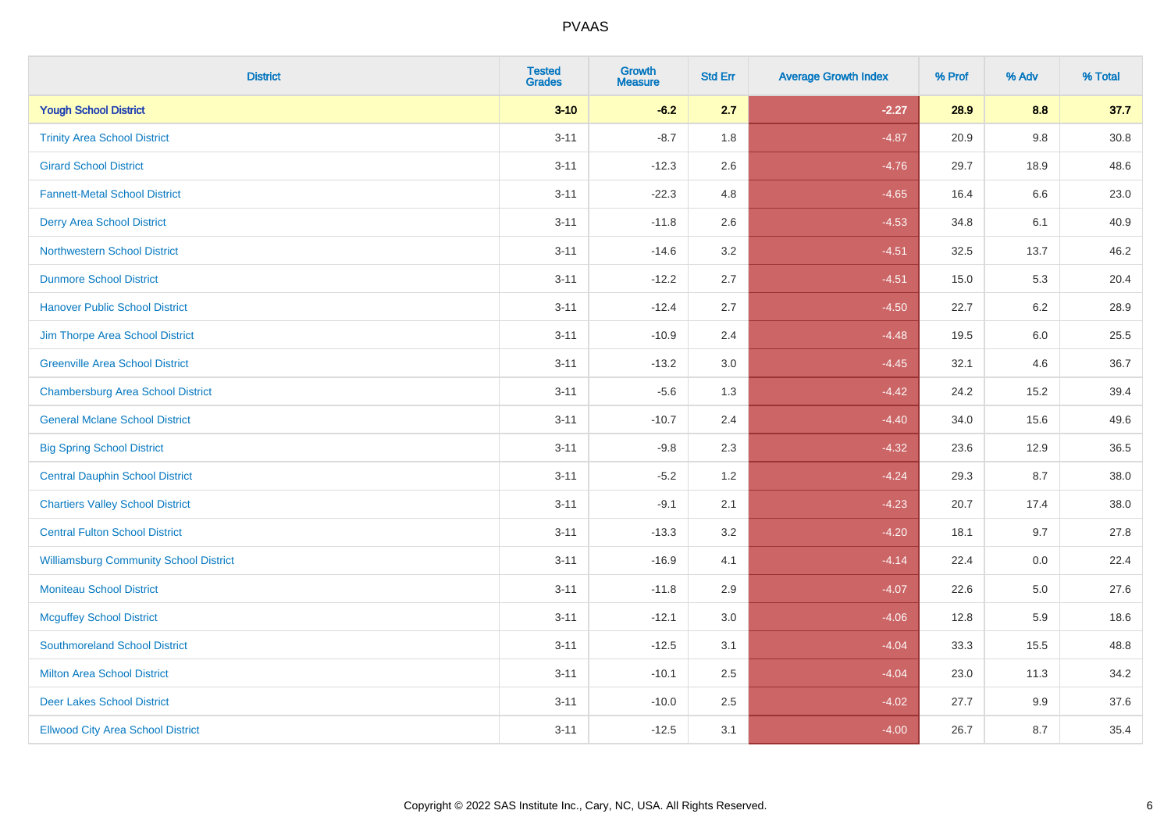| <b>District</b>                               | <b>Tested</b><br><b>Grades</b> | <b>Growth</b><br><b>Measure</b> | <b>Std Err</b> | <b>Average Growth Index</b> | % Prof | % Adv   | % Total  |
|-----------------------------------------------|--------------------------------|---------------------------------|----------------|-----------------------------|--------|---------|----------|
| <b>Yough School District</b>                  | $3 - 10$                       | $-6.2$                          | 2.7            | $-2.27$                     | 28.9   | 8.8     | 37.7     |
| <b>Trinity Area School District</b>           | $3 - 11$                       | $-8.7$                          | 1.8            | $-4.87$                     | 20.9   | $9.8\,$ | $30.8\,$ |
| <b>Girard School District</b>                 | $3 - 11$                       | $-12.3$                         | 2.6            | $-4.76$                     | 29.7   | 18.9    | 48.6     |
| <b>Fannett-Metal School District</b>          | $3 - 11$                       | $-22.3$                         | 4.8            | $-4.65$                     | 16.4   | 6.6     | 23.0     |
| <b>Derry Area School District</b>             | $3 - 11$                       | $-11.8$                         | 2.6            | $-4.53$                     | 34.8   | 6.1     | 40.9     |
| <b>Northwestern School District</b>           | $3 - 11$                       | $-14.6$                         | 3.2            | $-4.51$                     | 32.5   | 13.7    | 46.2     |
| <b>Dunmore School District</b>                | $3 - 11$                       | $-12.2$                         | 2.7            | $-4.51$                     | 15.0   | 5.3     | 20.4     |
| <b>Hanover Public School District</b>         | $3 - 11$                       | $-12.4$                         | 2.7            | $-4.50$                     | 22.7   | 6.2     | 28.9     |
| Jim Thorpe Area School District               | $3 - 11$                       | $-10.9$                         | 2.4            | $-4.48$                     | 19.5   | 6.0     | 25.5     |
| <b>Greenville Area School District</b>        | $3 - 11$                       | $-13.2$                         | 3.0            | $-4.45$                     | 32.1   | 4.6     | 36.7     |
| <b>Chambersburg Area School District</b>      | $3 - 11$                       | $-5.6$                          | 1.3            | $-4.42$                     | 24.2   | 15.2    | 39.4     |
| <b>General Mclane School District</b>         | $3 - 11$                       | $-10.7$                         | 2.4            | $-4.40$                     | 34.0   | 15.6    | 49.6     |
| <b>Big Spring School District</b>             | $3 - 11$                       | $-9.8$                          | 2.3            | $-4.32$                     | 23.6   | 12.9    | 36.5     |
| <b>Central Dauphin School District</b>        | $3 - 11$                       | $-5.2$                          | 1.2            | $-4.24$                     | 29.3   | 8.7     | 38.0     |
| <b>Chartiers Valley School District</b>       | $3 - 11$                       | $-9.1$                          | 2.1            | $-4.23$                     | 20.7   | 17.4    | 38.0     |
| <b>Central Fulton School District</b>         | $3 - 11$                       | $-13.3$                         | 3.2            | $-4.20$                     | 18.1   | 9.7     | 27.8     |
| <b>Williamsburg Community School District</b> | $3 - 11$                       | $-16.9$                         | 4.1            | $-4.14$                     | 22.4   | 0.0     | 22.4     |
| <b>Moniteau School District</b>               | $3 - 11$                       | $-11.8$                         | 2.9            | $-4.07$                     | 22.6   | 5.0     | 27.6     |
| <b>Mcguffey School District</b>               | $3 - 11$                       | $-12.1$                         | 3.0            | $-4.06$                     | 12.8   | 5.9     | 18.6     |
| <b>Southmoreland School District</b>          | $3 - 11$                       | $-12.5$                         | 3.1            | $-4.04$                     | 33.3   | 15.5    | 48.8     |
| <b>Milton Area School District</b>            | $3 - 11$                       | $-10.1$                         | 2.5            | $-4.04$                     | 23.0   | 11.3    | 34.2     |
| <b>Deer Lakes School District</b>             | $3 - 11$                       | $-10.0$                         | 2.5            | $-4.02$                     | 27.7   | 9.9     | 37.6     |
| <b>Ellwood City Area School District</b>      | $3 - 11$                       | $-12.5$                         | 3.1            | $-4.00$                     | 26.7   | 8.7     | 35.4     |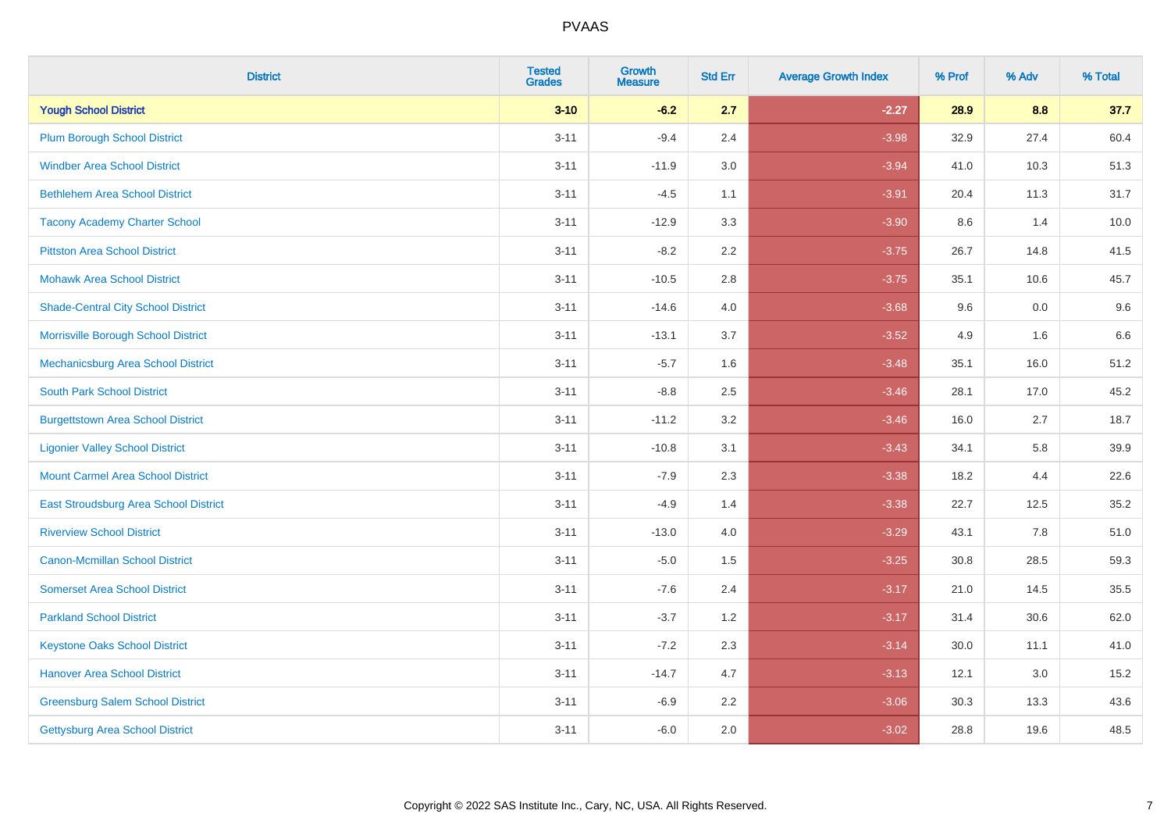| <b>District</b>                           | <b>Tested</b><br><b>Grades</b> | <b>Growth</b><br><b>Measure</b> | <b>Std Err</b> | <b>Average Growth Index</b> | % Prof | % Adv | % Total |
|-------------------------------------------|--------------------------------|---------------------------------|----------------|-----------------------------|--------|-------|---------|
| <b>Yough School District</b>              | $3 - 10$                       | $-6.2$                          | 2.7            | $-2.27$                     | 28.9   | 8.8   | 37.7    |
| <b>Plum Borough School District</b>       | $3 - 11$                       | $-9.4$                          | 2.4            | $-3.98$                     | 32.9   | 27.4  | 60.4    |
| <b>Windber Area School District</b>       | $3 - 11$                       | $-11.9$                         | 3.0            | $-3.94$                     | 41.0   | 10.3  | 51.3    |
| <b>Bethlehem Area School District</b>     | $3 - 11$                       | $-4.5$                          | 1.1            | $-3.91$                     | 20.4   | 11.3  | 31.7    |
| <b>Tacony Academy Charter School</b>      | $3 - 11$                       | $-12.9$                         | 3.3            | $-3.90$                     | 8.6    | 1.4   | 10.0    |
| <b>Pittston Area School District</b>      | $3 - 11$                       | $-8.2$                          | 2.2            | $-3.75$                     | 26.7   | 14.8  | 41.5    |
| <b>Mohawk Area School District</b>        | $3 - 11$                       | $-10.5$                         | 2.8            | $-3.75$                     | 35.1   | 10.6  | 45.7    |
| <b>Shade-Central City School District</b> | $3 - 11$                       | $-14.6$                         | 4.0            | $-3.68$                     | 9.6    | 0.0   | 9.6     |
| Morrisville Borough School District       | $3 - 11$                       | $-13.1$                         | 3.7            | $-3.52$                     | 4.9    | 1.6   | 6.6     |
| Mechanicsburg Area School District        | $3 - 11$                       | $-5.7$                          | 1.6            | $-3.48$                     | 35.1   | 16.0  | 51.2    |
| <b>South Park School District</b>         | $3 - 11$                       | $-8.8$                          | 2.5            | $-3.46$                     | 28.1   | 17.0  | 45.2    |
| <b>Burgettstown Area School District</b>  | $3 - 11$                       | $-11.2$                         | 3.2            | $-3.46$                     | 16.0   | 2.7   | 18.7    |
| <b>Ligonier Valley School District</b>    | $3 - 11$                       | $-10.8$                         | 3.1            | $-3.43$                     | 34.1   | 5.8   | 39.9    |
| <b>Mount Carmel Area School District</b>  | $3 - 11$                       | $-7.9$                          | 2.3            | $-3.38$                     | 18.2   | 4.4   | 22.6    |
| East Stroudsburg Area School District     | $3 - 11$                       | $-4.9$                          | 1.4            | $-3.38$                     | 22.7   | 12.5  | 35.2    |
| <b>Riverview School District</b>          | $3 - 11$                       | $-13.0$                         | 4.0            | $-3.29$                     | 43.1   | 7.8   | 51.0    |
| <b>Canon-Mcmillan School District</b>     | $3 - 11$                       | $-5.0$                          | 1.5            | $-3.25$                     | 30.8   | 28.5  | 59.3    |
| <b>Somerset Area School District</b>      | $3 - 11$                       | $-7.6$                          | 2.4            | $-3.17$                     | 21.0   | 14.5  | 35.5    |
| <b>Parkland School District</b>           | $3 - 11$                       | $-3.7$                          | 1.2            | $-3.17$                     | 31.4   | 30.6  | 62.0    |
| <b>Keystone Oaks School District</b>      | $3 - 11$                       | $-7.2$                          | 2.3            | $-3.14$                     | 30.0   | 11.1  | 41.0    |
| <b>Hanover Area School District</b>       | $3 - 11$                       | $-14.7$                         | 4.7            | $-3.13$                     | 12.1   | 3.0   | 15.2    |
| <b>Greensburg Salem School District</b>   | $3 - 11$                       | $-6.9$                          | 2.2            | $-3.06$                     | 30.3   | 13.3  | 43.6    |
| <b>Gettysburg Area School District</b>    | $3 - 11$                       | $-6.0$                          | 2.0            | $-3.02$                     | 28.8   | 19.6  | 48.5    |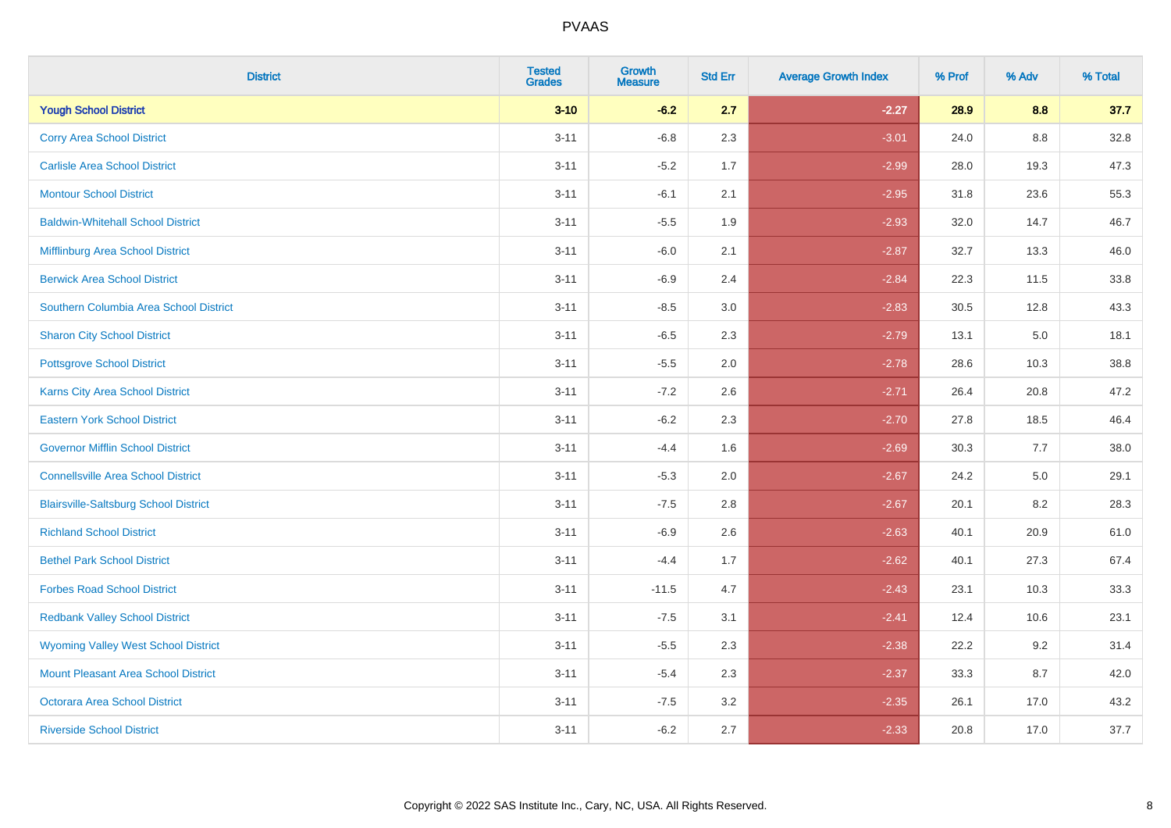| <b>District</b>                              | <b>Tested</b><br><b>Grades</b> | Growth<br><b>Measure</b> | <b>Std Err</b> | <b>Average Growth Index</b> | % Prof | % Adv   | % Total |
|----------------------------------------------|--------------------------------|--------------------------|----------------|-----------------------------|--------|---------|---------|
| <b>Yough School District</b>                 | $3 - 10$                       | $-6.2$                   | 2.7            | $-2.27$                     | 28.9   | 8.8     | 37.7    |
| <b>Corry Area School District</b>            | $3 - 11$                       | $-6.8$                   | 2.3            | $-3.01$                     | 24.0   | 8.8     | 32.8    |
| <b>Carlisle Area School District</b>         | $3 - 11$                       | $-5.2$                   | 1.7            | $-2.99$                     | 28.0   | 19.3    | 47.3    |
| <b>Montour School District</b>               | $3 - 11$                       | $-6.1$                   | 2.1            | $-2.95$                     | 31.8   | 23.6    | 55.3    |
| <b>Baldwin-Whitehall School District</b>     | $3 - 11$                       | $-5.5$                   | 1.9            | $-2.93$                     | 32.0   | 14.7    | 46.7    |
| Mifflinburg Area School District             | $3 - 11$                       | $-6.0$                   | 2.1            | $-2.87$                     | 32.7   | 13.3    | 46.0    |
| <b>Berwick Area School District</b>          | $3 - 11$                       | $-6.9$                   | 2.4            | $-2.84$                     | 22.3   | 11.5    | 33.8    |
| Southern Columbia Area School District       | $3 - 11$                       | $-8.5$                   | 3.0            | $-2.83$                     | 30.5   | 12.8    | 43.3    |
| <b>Sharon City School District</b>           | $3 - 11$                       | $-6.5$                   | 2.3            | $-2.79$                     | 13.1   | 5.0     | 18.1    |
| <b>Pottsgrove School District</b>            | $3 - 11$                       | $-5.5$                   | 2.0            | $-2.78$                     | 28.6   | 10.3    | 38.8    |
| <b>Karns City Area School District</b>       | $3 - 11$                       | $-7.2$                   | 2.6            | $-2.71$                     | 26.4   | 20.8    | 47.2    |
| <b>Eastern York School District</b>          | $3 - 11$                       | $-6.2$                   | 2.3            | $-2.70$                     | 27.8   | 18.5    | 46.4    |
| <b>Governor Mifflin School District</b>      | $3 - 11$                       | $-4.4$                   | 1.6            | $-2.69$                     | 30.3   | 7.7     | 38.0    |
| <b>Connellsville Area School District</b>    | $3 - 11$                       | $-5.3$                   | 2.0            | $-2.67$                     | 24.2   | $5.0\,$ | 29.1    |
| <b>Blairsville-Saltsburg School District</b> | $3 - 11$                       | $-7.5$                   | 2.8            | $-2.67$                     | 20.1   | 8.2     | 28.3    |
| <b>Richland School District</b>              | $3 - 11$                       | $-6.9$                   | 2.6            | $-2.63$                     | 40.1   | 20.9    | 61.0    |
| <b>Bethel Park School District</b>           | $3 - 11$                       | $-4.4$                   | 1.7            | $-2.62$                     | 40.1   | 27.3    | 67.4    |
| <b>Forbes Road School District</b>           | $3 - 11$                       | $-11.5$                  | 4.7            | $-2.43$                     | 23.1   | 10.3    | 33.3    |
| <b>Redbank Valley School District</b>        | $3 - 11$                       | $-7.5$                   | 3.1            | $-2.41$                     | 12.4   | 10.6    | 23.1    |
| <b>Wyoming Valley West School District</b>   | $3 - 11$                       | $-5.5$                   | 2.3            | $-2.38$                     | 22.2   | 9.2     | 31.4    |
| Mount Pleasant Area School District          | $3 - 11$                       | $-5.4$                   | 2.3            | $-2.37$                     | 33.3   | 8.7     | 42.0    |
| <b>Octorara Area School District</b>         | $3 - 11$                       | $-7.5$                   | 3.2            | $-2.35$                     | 26.1   | 17.0    | 43.2    |
| <b>Riverside School District</b>             | $3 - 11$                       | $-6.2$                   | 2.7            | $-2.33$                     | 20.8   | 17.0    | 37.7    |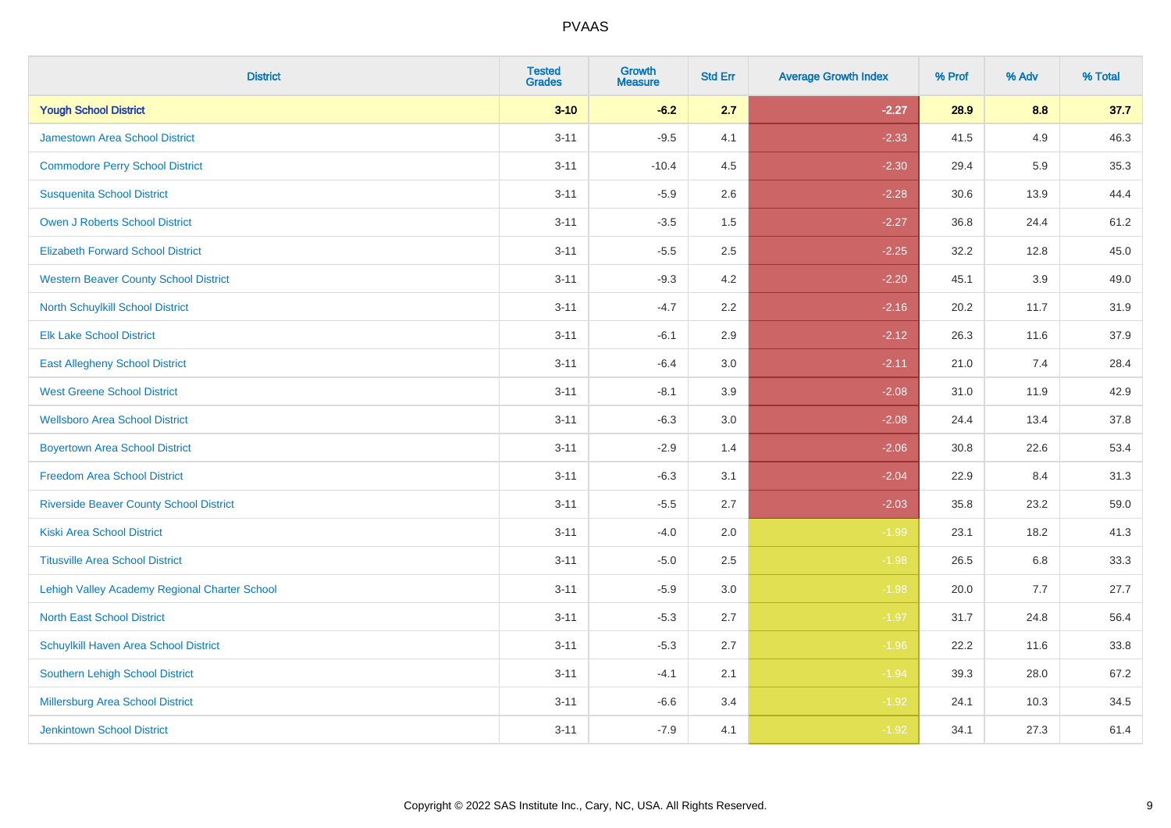| <b>District</b>                                | <b>Tested</b><br><b>Grades</b> | <b>Growth</b><br><b>Measure</b> | <b>Std Err</b> | <b>Average Growth Index</b> | % Prof | % Adv | % Total |
|------------------------------------------------|--------------------------------|---------------------------------|----------------|-----------------------------|--------|-------|---------|
| <b>Yough School District</b>                   | $3 - 10$                       | $-6.2$                          | 2.7            | $-2.27$                     | 28.9   | 8.8   | 37.7    |
| <b>Jamestown Area School District</b>          | $3 - 11$                       | $-9.5$                          | 4.1            | $-2.33$                     | 41.5   | 4.9   | 46.3    |
| <b>Commodore Perry School District</b>         | $3 - 11$                       | $-10.4$                         | 4.5            | $-2.30$                     | 29.4   | 5.9   | 35.3    |
| <b>Susquenita School District</b>              | $3 - 11$                       | $-5.9$                          | 2.6            | $-2.28$                     | 30.6   | 13.9  | 44.4    |
| <b>Owen J Roberts School District</b>          | $3 - 11$                       | $-3.5$                          | 1.5            | $-2.27$                     | 36.8   | 24.4  | 61.2    |
| <b>Elizabeth Forward School District</b>       | $3 - 11$                       | $-5.5$                          | 2.5            | $-2.25$                     | 32.2   | 12.8  | 45.0    |
| <b>Western Beaver County School District</b>   | $3 - 11$                       | $-9.3$                          | 4.2            | $-2.20$                     | 45.1   | 3.9   | 49.0    |
| North Schuylkill School District               | $3 - 11$                       | $-4.7$                          | 2.2            | $-2.16$                     | 20.2   | 11.7  | 31.9    |
| <b>Elk Lake School District</b>                | $3 - 11$                       | $-6.1$                          | 2.9            | $-2.12$                     | 26.3   | 11.6  | 37.9    |
| <b>East Allegheny School District</b>          | $3 - 11$                       | $-6.4$                          | 3.0            | $-2.11$                     | 21.0   | 7.4   | 28.4    |
| <b>West Greene School District</b>             | $3 - 11$                       | $-8.1$                          | 3.9            | $-2.08$                     | 31.0   | 11.9  | 42.9    |
| <b>Wellsboro Area School District</b>          | $3 - 11$                       | $-6.3$                          | 3.0            | $-2.08$                     | 24.4   | 13.4  | 37.8    |
| <b>Boyertown Area School District</b>          | $3 - 11$                       | $-2.9$                          | 1.4            | $-2.06$                     | 30.8   | 22.6  | 53.4    |
| <b>Freedom Area School District</b>            | $3 - 11$                       | $-6.3$                          | 3.1            | $-2.04$                     | 22.9   | 8.4   | 31.3    |
| <b>Riverside Beaver County School District</b> | $3 - 11$                       | $-5.5$                          | 2.7            | $-2.03$                     | 35.8   | 23.2  | 59.0    |
| <b>Kiski Area School District</b>              | $3 - 11$                       | $-4.0$                          | 2.0            | $-1.99$                     | 23.1   | 18.2  | 41.3    |
| <b>Titusville Area School District</b>         | $3 - 11$                       | $-5.0$                          | 2.5            | $-1.98$                     | 26.5   | 6.8   | 33.3    |
| Lehigh Valley Academy Regional Charter School  | $3 - 11$                       | $-5.9$                          | 3.0            | $-1.98$                     | 20.0   | 7.7   | 27.7    |
| <b>North East School District</b>              | $3 - 11$                       | $-5.3$                          | 2.7            | $-1.97$                     | 31.7   | 24.8  | 56.4    |
| Schuylkill Haven Area School District          | $3 - 11$                       | $-5.3$                          | 2.7            | $-1.96$                     | 22.2   | 11.6  | 33.8    |
| Southern Lehigh School District                | $3 - 11$                       | $-4.1$                          | 2.1            | $-1.94$                     | 39.3   | 28.0  | 67.2    |
| Millersburg Area School District               | $3 - 11$                       | $-6.6$                          | 3.4            | $-1.92$                     | 24.1   | 10.3  | 34.5    |
| <b>Jenkintown School District</b>              | $3 - 11$                       | $-7.9$                          | 4.1            | $-1.92$                     | 34.1   | 27.3  | 61.4    |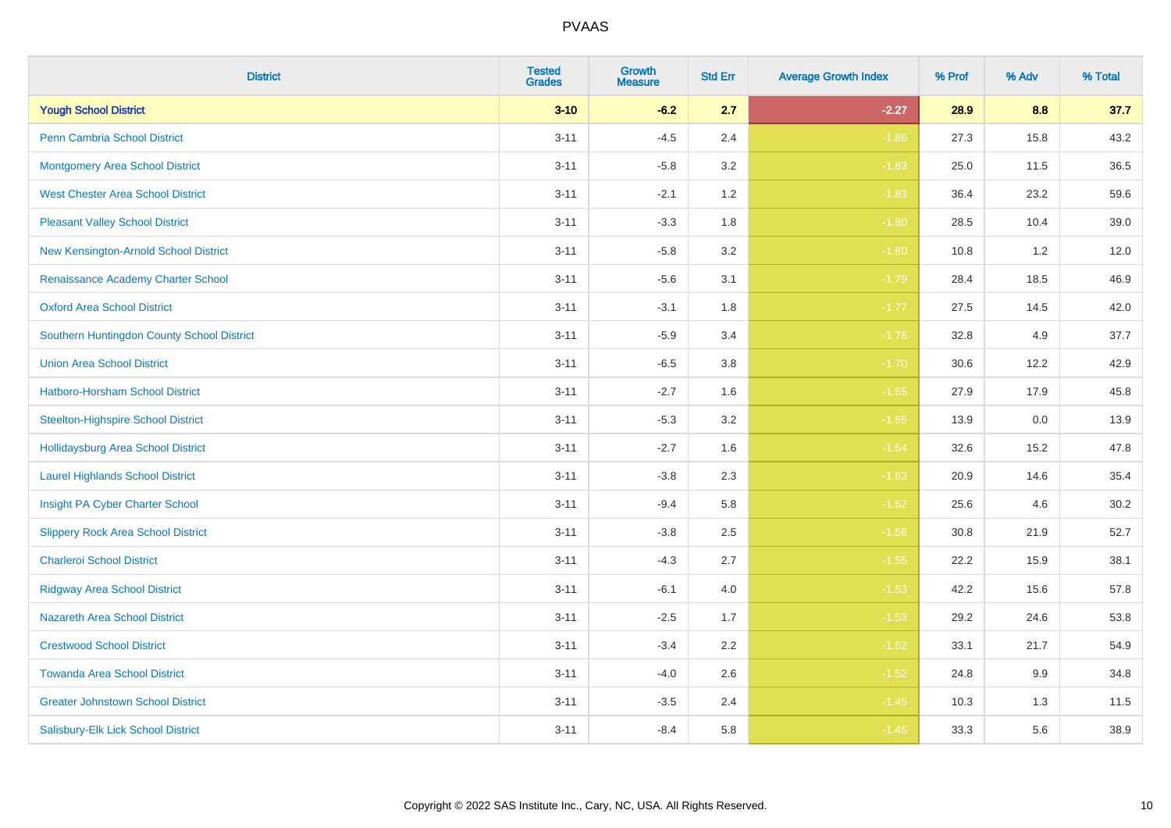| <b>District</b>                            | <b>Tested</b><br><b>Grades</b> | Growth<br><b>Measure</b> | <b>Std Err</b> | <b>Average Growth Index</b> | % Prof | % Adv | % Total |
|--------------------------------------------|--------------------------------|--------------------------|----------------|-----------------------------|--------|-------|---------|
| <b>Yough School District</b>               | $3 - 10$                       | $-6.2$                   | 2.7            | $-2.27$                     | 28.9   | 8.8   | 37.7    |
| <b>Penn Cambria School District</b>        | $3 - 11$                       | $-4.5$                   | 2.4            | $-1.86$                     | 27.3   | 15.8  | 43.2    |
| <b>Montgomery Area School District</b>     | $3 - 11$                       | $-5.8$                   | 3.2            | $-1.83$                     | 25.0   | 11.5  | 36.5    |
| <b>West Chester Area School District</b>   | $3 - 11$                       | $-2.1$                   | 1.2            | $-1.83$                     | 36.4   | 23.2  | 59.6    |
| <b>Pleasant Valley School District</b>     | $3 - 11$                       | $-3.3$                   | 1.8            | $-1.80$                     | 28.5   | 10.4  | 39.0    |
| New Kensington-Arnold School District      | $3 - 11$                       | $-5.8$                   | 3.2            | $-1.80$                     | 10.8   | 1.2   | 12.0    |
| Renaissance Academy Charter School         | $3 - 11$                       | $-5.6$                   | 3.1            | $-1.79$                     | 28.4   | 18.5  | 46.9    |
| <b>Oxford Area School District</b>         | $3 - 11$                       | $-3.1$                   | 1.8            | $-1.77$                     | 27.5   | 14.5  | 42.0    |
| Southern Huntingdon County School District | $3 - 11$                       | $-5.9$                   | 3.4            | $-1.76$                     | 32.8   | 4.9   | 37.7    |
| <b>Union Area School District</b>          | $3 - 11$                       | $-6.5$                   | 3.8            | $-1.70$                     | 30.6   | 12.2  | 42.9    |
| Hatboro-Horsham School District            | $3 - 11$                       | $-2.7$                   | 1.6            | $-1.65$                     | 27.9   | 17.9  | 45.8    |
| <b>Steelton-Highspire School District</b>  | $3 - 11$                       | $-5.3$                   | 3.2            | $-1.65$                     | 13.9   | 0.0   | 13.9    |
| Hollidaysburg Area School District         | $3 - 11$                       | $-2.7$                   | 1.6            | $-1.64$                     | 32.6   | 15.2  | 47.8    |
| <b>Laurel Highlands School District</b>    | $3 - 11$                       | $-3.8$                   | 2.3            | $-1.63$                     | 20.9   | 14.6  | 35.4    |
| Insight PA Cyber Charter School            | $3 - 11$                       | $-9.4$                   | 5.8            | $-1.62$                     | 25.6   | 4.6   | 30.2    |
| <b>Slippery Rock Area School District</b>  | $3 - 11$                       | $-3.8$                   | 2.5            | $-1.56$                     | 30.8   | 21.9  | 52.7    |
| <b>Charleroi School District</b>           | $3 - 11$                       | $-4.3$                   | 2.7            | $-1.55$                     | 22.2   | 15.9  | 38.1    |
| <b>Ridgway Area School District</b>        | $3 - 11$                       | $-6.1$                   | 4.0            | $-1.53$                     | 42.2   | 15.6  | 57.8    |
| <b>Nazareth Area School District</b>       | $3 - 11$                       | $-2.5$                   | 1.7            | $-1.53$                     | 29.2   | 24.6  | 53.8    |
| <b>Crestwood School District</b>           | $3 - 11$                       | $-3.4$                   | 2.2            | $-1.52$                     | 33.1   | 21.7  | 54.9    |
| <b>Towanda Area School District</b>        | $3 - 11$                       | $-4.0$                   | 2.6            | $-1.52$                     | 24.8   | 9.9   | 34.8    |
| <b>Greater Johnstown School District</b>   | $3 - 11$                       | $-3.5$                   | 2.4            | $-1.45$                     | 10.3   | 1.3   | 11.5    |
| Salisbury-Elk Lick School District         | $3 - 11$                       | $-8.4$                   | 5.8            | $-1.45$                     | 33.3   | 5.6   | 38.9    |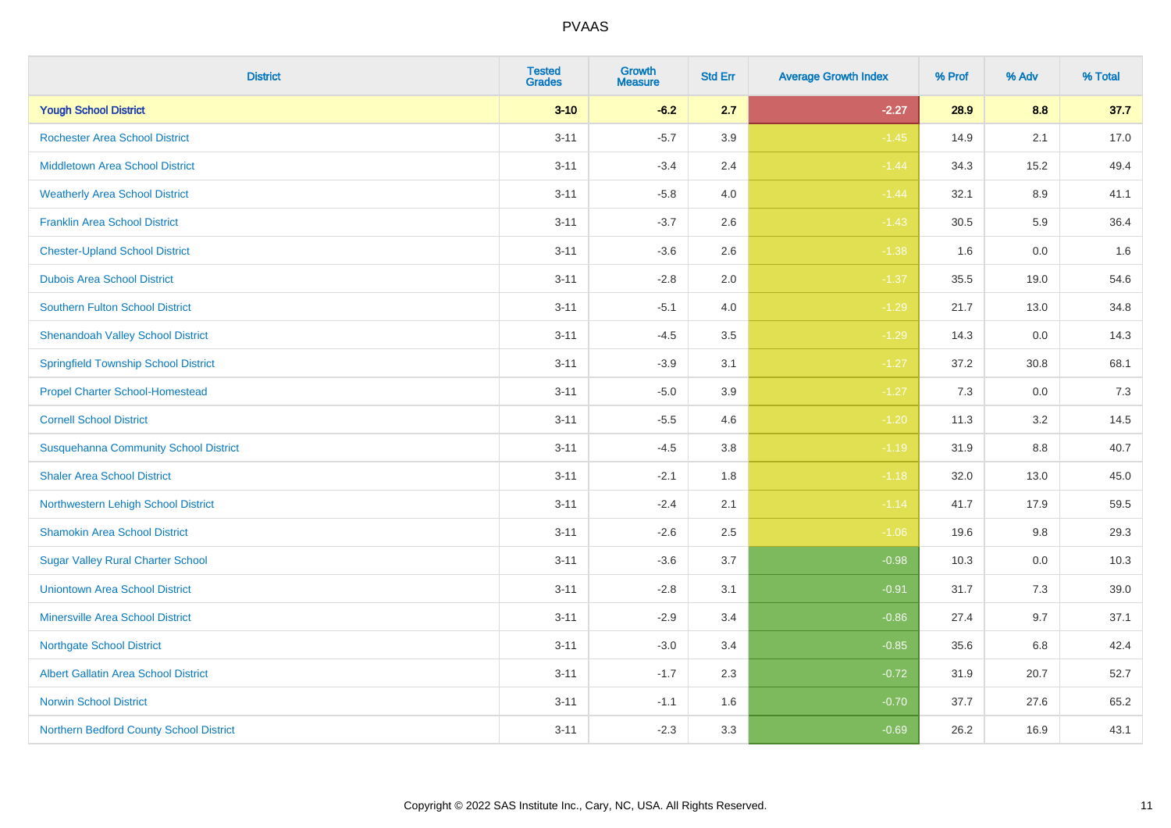| <b>District</b>                              | <b>Tested</b><br><b>Grades</b> | Growth<br><b>Measure</b> | <b>Std Err</b> | <b>Average Growth Index</b> | % Prof | % Adv   | % Total |
|----------------------------------------------|--------------------------------|--------------------------|----------------|-----------------------------|--------|---------|---------|
| <b>Yough School District</b>                 | $3 - 10$                       | $-6.2$                   | 2.7            | $-2.27$                     | 28.9   | 8.8     | 37.7    |
| <b>Rochester Area School District</b>        | $3 - 11$                       | $-5.7$                   | 3.9            | $-1.45$                     | 14.9   | 2.1     | 17.0    |
| <b>Middletown Area School District</b>       | $3 - 11$                       | $-3.4$                   | 2.4            | $-1.44$                     | 34.3   | 15.2    | 49.4    |
| <b>Weatherly Area School District</b>        | $3 - 11$                       | $-5.8$                   | 4.0            | $-1.44$                     | 32.1   | $8.9\,$ | 41.1    |
| <b>Franklin Area School District</b>         | $3 - 11$                       | $-3.7$                   | 2.6            | $-1.43$                     | 30.5   | 5.9     | 36.4    |
| <b>Chester-Upland School District</b>        | $3 - 11$                       | $-3.6$                   | 2.6            | $-1.38$                     | 1.6    | 0.0     | 1.6     |
| <b>Dubois Area School District</b>           | $3 - 11$                       | $-2.8$                   | 2.0            | $-1.37$                     | 35.5   | 19.0    | 54.6    |
| <b>Southern Fulton School District</b>       | $3 - 11$                       | $-5.1$                   | 4.0            | $-1.29$                     | 21.7   | 13.0    | 34.8    |
| <b>Shenandoah Valley School District</b>     | $3 - 11$                       | $-4.5$                   | 3.5            | $-1.29$                     | 14.3   | 0.0     | 14.3    |
| <b>Springfield Township School District</b>  | $3 - 11$                       | $-3.9$                   | 3.1            | $-1.27$                     | 37.2   | 30.8    | 68.1    |
| <b>Propel Charter School-Homestead</b>       | $3 - 11$                       | $-5.0$                   | 3.9            | $-1.27$                     | 7.3    | 0.0     | 7.3     |
| <b>Cornell School District</b>               | $3 - 11$                       | $-5.5$                   | 4.6            | $-1.20$                     | 11.3   | 3.2     | 14.5    |
| <b>Susquehanna Community School District</b> | $3 - 11$                       | $-4.5$                   | 3.8            | $-1.19$                     | 31.9   | $8.8\,$ | 40.7    |
| <b>Shaler Area School District</b>           | $3 - 11$                       | $-2.1$                   | 1.8            | $-1.18$                     | 32.0   | 13.0    | 45.0    |
| Northwestern Lehigh School District          | $3 - 11$                       | $-2.4$                   | 2.1            | $-1.14$                     | 41.7   | 17.9    | 59.5    |
| <b>Shamokin Area School District</b>         | $3 - 11$                       | $-2.6$                   | 2.5            | $-1.06$                     | 19.6   | 9.8     | 29.3    |
| <b>Sugar Valley Rural Charter School</b>     | $3 - 11$                       | $-3.6$                   | 3.7            | $-0.98$                     | 10.3   | 0.0     | 10.3    |
| <b>Uniontown Area School District</b>        | $3 - 11$                       | $-2.8$                   | 3.1            | $-0.91$                     | 31.7   | 7.3     | 39.0    |
| <b>Minersville Area School District</b>      | $3 - 11$                       | $-2.9$                   | 3.4            | $-0.86$                     | 27.4   | 9.7     | 37.1    |
| <b>Northgate School District</b>             | $3 - 11$                       | $-3.0$                   | 3.4            | $-0.85$                     | 35.6   | 6.8     | 42.4    |
| Albert Gallatin Area School District         | $3 - 11$                       | $-1.7$                   | 2.3            | $-0.72$                     | 31.9   | 20.7    | 52.7    |
| <b>Norwin School District</b>                | $3 - 11$                       | $-1.1$                   | 1.6            | $-0.70$                     | 37.7   | 27.6    | 65.2    |
| Northern Bedford County School District      | $3 - 11$                       | $-2.3$                   | 3.3            | $-0.69$                     | 26.2   | 16.9    | 43.1    |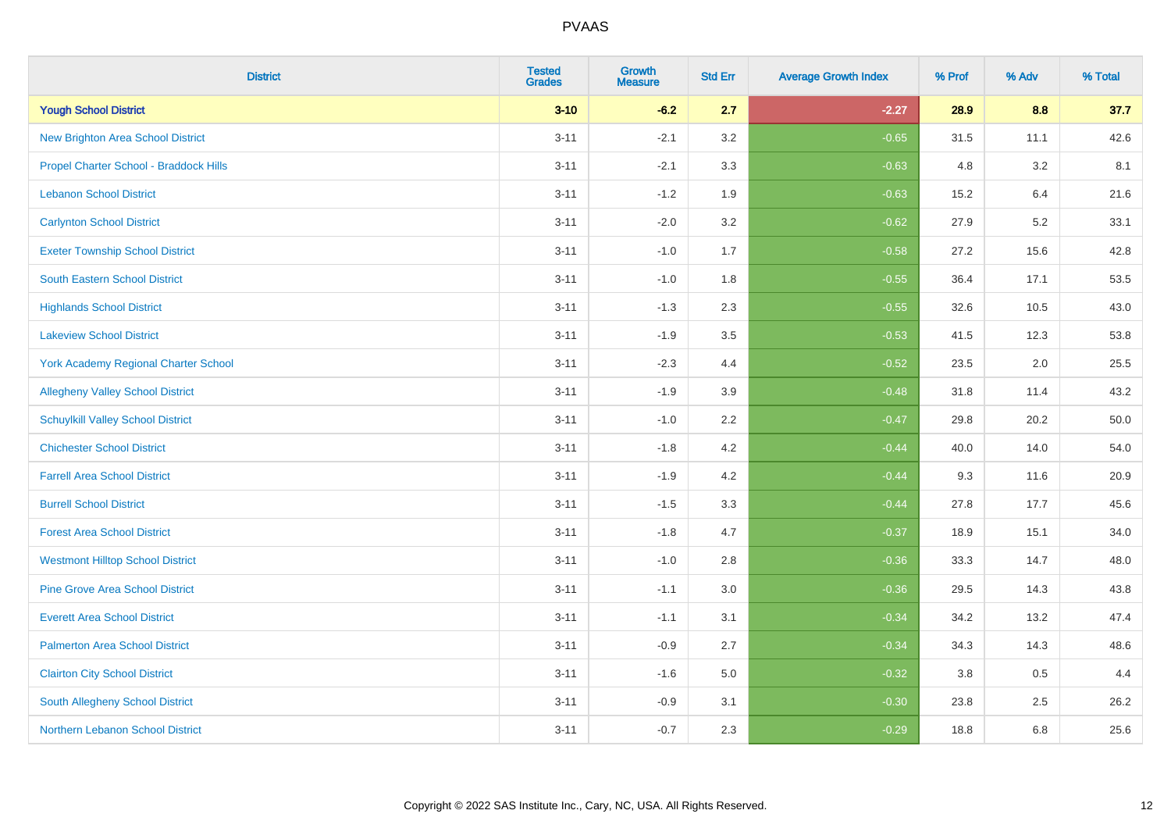| <b>District</b>                          | <b>Tested</b><br><b>Grades</b> | Growth<br><b>Measure</b> | <b>Std Err</b> | <b>Average Growth Index</b> | % Prof | % Adv | % Total |
|------------------------------------------|--------------------------------|--------------------------|----------------|-----------------------------|--------|-------|---------|
| <b>Yough School District</b>             | $3 - 10$                       | $-6.2$                   | 2.7            | $-2.27$                     | 28.9   | 8.8   | 37.7    |
| New Brighton Area School District        | $3 - 11$                       | $-2.1$                   | 3.2            | $-0.65$                     | 31.5   | 11.1  | 42.6    |
| Propel Charter School - Braddock Hills   | $3 - 11$                       | $-2.1$                   | 3.3            | $-0.63$                     | 4.8    | 3.2   | 8.1     |
| <b>Lebanon School District</b>           | $3 - 11$                       | $-1.2$                   | 1.9            | $-0.63$                     | 15.2   | 6.4   | 21.6    |
| <b>Carlynton School District</b>         | $3 - 11$                       | $-2.0$                   | 3.2            | $-0.62$                     | 27.9   | 5.2   | 33.1    |
| <b>Exeter Township School District</b>   | $3 - 11$                       | $-1.0$                   | 1.7            | $-0.58$                     | 27.2   | 15.6  | 42.8    |
| South Eastern School District            | $3 - 11$                       | $-1.0$                   | 1.8            | $-0.55$                     | 36.4   | 17.1  | 53.5    |
| <b>Highlands School District</b>         | $3 - 11$                       | $-1.3$                   | 2.3            | $-0.55$                     | 32.6   | 10.5  | 43.0    |
| <b>Lakeview School District</b>          | $3 - 11$                       | $-1.9$                   | 3.5            | $-0.53$                     | 41.5   | 12.3  | 53.8    |
| York Academy Regional Charter School     | $3 - 11$                       | $-2.3$                   | 4.4            | $-0.52$                     | 23.5   | 2.0   | 25.5    |
| <b>Allegheny Valley School District</b>  | $3 - 11$                       | $-1.9$                   | 3.9            | $-0.48$                     | 31.8   | 11.4  | 43.2    |
| <b>Schuylkill Valley School District</b> | $3 - 11$                       | $-1.0$                   | 2.2            | $-0.47$                     | 29.8   | 20.2  | 50.0    |
| <b>Chichester School District</b>        | $3 - 11$                       | $-1.8$                   | 4.2            | $-0.44$                     | 40.0   | 14.0  | 54.0    |
| <b>Farrell Area School District</b>      | $3 - 11$                       | $-1.9$                   | 4.2            | $-0.44$                     | 9.3    | 11.6  | 20.9    |
| <b>Burrell School District</b>           | $3 - 11$                       | $-1.5$                   | 3.3            | $-0.44$                     | 27.8   | 17.7  | 45.6    |
| <b>Forest Area School District</b>       | $3 - 11$                       | $-1.8$                   | 4.7            | $-0.37$                     | 18.9   | 15.1  | 34.0    |
| <b>Westmont Hilltop School District</b>  | $3 - 11$                       | $-1.0$                   | 2.8            | $-0.36$                     | 33.3   | 14.7  | 48.0    |
| <b>Pine Grove Area School District</b>   | $3 - 11$                       | $-1.1$                   | 3.0            | $-0.36$                     | 29.5   | 14.3  | 43.8    |
| <b>Everett Area School District</b>      | $3 - 11$                       | $-1.1$                   | 3.1            | $-0.34$                     | 34.2   | 13.2  | 47.4    |
| <b>Palmerton Area School District</b>    | $3 - 11$                       | $-0.9$                   | 2.7            | $-0.34$                     | 34.3   | 14.3  | 48.6    |
| <b>Clairton City School District</b>     | $3 - 11$                       | $-1.6$                   | 5.0            | $-0.32$                     | 3.8    | 0.5   | 4.4     |
| South Allegheny School District          | $3 - 11$                       | $-0.9$                   | 3.1            | $-0.30$                     | 23.8   | 2.5   | 26.2    |
| <b>Northern Lebanon School District</b>  | $3 - 11$                       | $-0.7$                   | 2.3            | $-0.29$                     | 18.8   | 6.8   | 25.6    |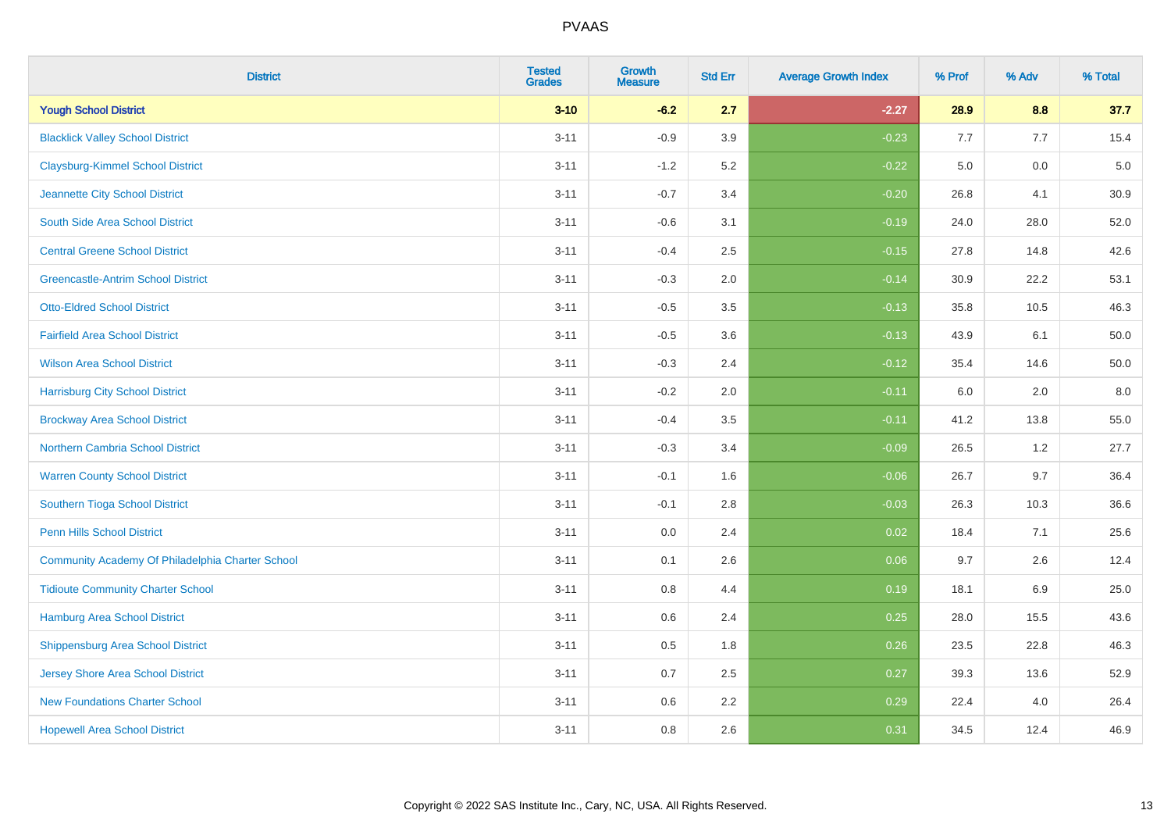| <b>District</b>                                  | <b>Tested</b><br><b>Grades</b> | Growth<br><b>Measure</b> | <b>Std Err</b> | <b>Average Growth Index</b> | % Prof | % Adv   | % Total |
|--------------------------------------------------|--------------------------------|--------------------------|----------------|-----------------------------|--------|---------|---------|
| <b>Yough School District</b>                     | $3 - 10$                       | $-6.2$                   | 2.7            | $-2.27$                     | 28.9   | 8.8     | 37.7    |
| <b>Blacklick Valley School District</b>          | $3 - 11$                       | $-0.9$                   | 3.9            | $-0.23$                     | 7.7    | 7.7     | 15.4    |
| <b>Claysburg-Kimmel School District</b>          | $3 - 11$                       | $-1.2$                   | 5.2            | $-0.22$                     | 5.0    | 0.0     | $5.0$   |
| Jeannette City School District                   | $3 - 11$                       | $-0.7$                   | 3.4            | $-0.20$                     | 26.8   | 4.1     | 30.9    |
| South Side Area School District                  | $3 - 11$                       | $-0.6$                   | 3.1            | $-0.19$                     | 24.0   | 28.0    | 52.0    |
| <b>Central Greene School District</b>            | $3 - 11$                       | $-0.4$                   | 2.5            | $-0.15$                     | 27.8   | 14.8    | 42.6    |
| <b>Greencastle-Antrim School District</b>        | $3 - 11$                       | $-0.3$                   | 2.0            | $-0.14$                     | 30.9   | 22.2    | 53.1    |
| <b>Otto-Eldred School District</b>               | $3 - 11$                       | $-0.5$                   | 3.5            | $-0.13$                     | 35.8   | 10.5    | 46.3    |
| <b>Fairfield Area School District</b>            | $3 - 11$                       | $-0.5$                   | 3.6            | $-0.13$                     | 43.9   | 6.1     | 50.0    |
| <b>Wilson Area School District</b>               | $3 - 11$                       | $-0.3$                   | 2.4            | $-0.12$                     | 35.4   | 14.6    | 50.0    |
| <b>Harrisburg City School District</b>           | $3 - 11$                       | $-0.2$                   | 2.0            | $-0.11$                     | 6.0    | 2.0     | 8.0     |
| <b>Brockway Area School District</b>             | $3 - 11$                       | $-0.4$                   | 3.5            | $-0.11$                     | 41.2   | 13.8    | 55.0    |
| <b>Northern Cambria School District</b>          | $3 - 11$                       | $-0.3$                   | 3.4            | $-0.09$                     | 26.5   | $1.2\,$ | 27.7    |
| <b>Warren County School District</b>             | $3 - 11$                       | $-0.1$                   | 1.6            | $-0.06$                     | 26.7   | 9.7     | 36.4    |
| Southern Tioga School District                   | $3 - 11$                       | $-0.1$                   | 2.8            | $-0.03$                     | 26.3   | 10.3    | 36.6    |
| <b>Penn Hills School District</b>                | $3 - 11$                       | 0.0                      | 2.4            | 0.02                        | 18.4   | 7.1     | 25.6    |
| Community Academy Of Philadelphia Charter School | $3 - 11$                       | 0.1                      | 2.6            | 0.06                        | 9.7    | 2.6     | 12.4    |
| <b>Tidioute Community Charter School</b>         | $3 - 11$                       | 0.8                      | 4.4            | 0.19                        | 18.1   | 6.9     | 25.0    |
| Hamburg Area School District                     | $3 - 11$                       | 0.6                      | 2.4            | 0.25                        | 28.0   | 15.5    | 43.6    |
| <b>Shippensburg Area School District</b>         | $3 - 11$                       | 0.5                      | 1.8            | 0.26                        | 23.5   | 22.8    | 46.3    |
| Jersey Shore Area School District                | $3 - 11$                       | 0.7                      | 2.5            | 0.27                        | 39.3   | 13.6    | 52.9    |
| <b>New Foundations Charter School</b>            | $3 - 11$                       | 0.6                      | 2.2            | 0.29                        | 22.4   | 4.0     | 26.4    |
| <b>Hopewell Area School District</b>             | $3 - 11$                       | 0.8                      | 2.6            | 0.31                        | 34.5   | 12.4    | 46.9    |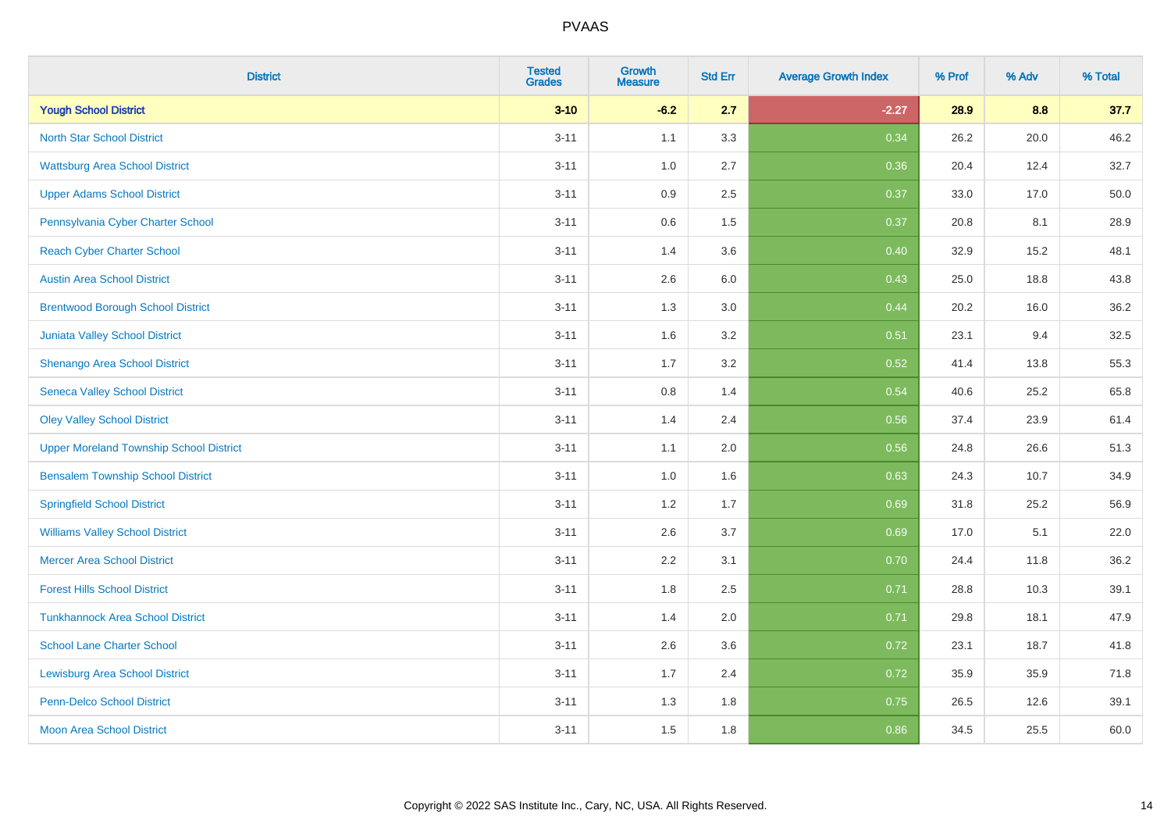| <b>District</b>                                | <b>Tested</b><br><b>Grades</b> | <b>Growth</b><br><b>Measure</b> | <b>Std Err</b> | <b>Average Growth Index</b> | % Prof | % Adv | % Total |
|------------------------------------------------|--------------------------------|---------------------------------|----------------|-----------------------------|--------|-------|---------|
| <b>Yough School District</b>                   | $3 - 10$                       | $-6.2$                          | 2.7            | $-2.27$                     | 28.9   | 8.8   | 37.7    |
| <b>North Star School District</b>              | $3 - 11$                       | 1.1                             | 3.3            | 0.34                        | 26.2   | 20.0  | 46.2    |
| <b>Wattsburg Area School District</b>          | $3 - 11$                       | 1.0                             | 2.7            | 0.36                        | 20.4   | 12.4  | 32.7    |
| <b>Upper Adams School District</b>             | $3 - 11$                       | 0.9                             | 2.5            | 0.37                        | 33.0   | 17.0  | 50.0    |
| Pennsylvania Cyber Charter School              | $3 - 11$                       | 0.6                             | 1.5            | 0.37                        | 20.8   | 8.1   | 28.9    |
| <b>Reach Cyber Charter School</b>              | $3 - 11$                       | 1.4                             | 3.6            | 0.40                        | 32.9   | 15.2  | 48.1    |
| <b>Austin Area School District</b>             | $3 - 11$                       | 2.6                             | 6.0            | 0.43                        | 25.0   | 18.8  | 43.8    |
| <b>Brentwood Borough School District</b>       | $3 - 11$                       | 1.3                             | 3.0            | 0.44                        | 20.2   | 16.0  | 36.2    |
| Juniata Valley School District                 | $3 - 11$                       | 1.6                             | 3.2            | 0.51                        | 23.1   | 9.4   | 32.5    |
| Shenango Area School District                  | $3 - 11$                       | 1.7                             | 3.2            | 0.52                        | 41.4   | 13.8  | 55.3    |
| <b>Seneca Valley School District</b>           | $3 - 11$                       | 0.8                             | 1.4            | 0.54                        | 40.6   | 25.2  | 65.8    |
| <b>Oley Valley School District</b>             | $3 - 11$                       | 1.4                             | 2.4            | 0.56                        | 37.4   | 23.9  | 61.4    |
| <b>Upper Moreland Township School District</b> | $3 - 11$                       | 1.1                             | 2.0            | 0.56                        | 24.8   | 26.6  | 51.3    |
| <b>Bensalem Township School District</b>       | $3 - 11$                       | 1.0                             | 1.6            | 0.63                        | 24.3   | 10.7  | 34.9    |
| <b>Springfield School District</b>             | $3 - 11$                       | 1.2                             | 1.7            | 0.69                        | 31.8   | 25.2  | 56.9    |
| <b>Williams Valley School District</b>         | $3 - 11$                       | 2.6                             | 3.7            | 0.69                        | 17.0   | 5.1   | 22.0    |
| <b>Mercer Area School District</b>             | $3 - 11$                       | $2.2\,$                         | 3.1            | 0.70                        | 24.4   | 11.8  | 36.2    |
| <b>Forest Hills School District</b>            | $3 - 11$                       | 1.8                             | 2.5            | 0.71                        | 28.8   | 10.3  | 39.1    |
| <b>Tunkhannock Area School District</b>        | $3 - 11$                       | 1.4                             | 2.0            | 0.71                        | 29.8   | 18.1  | 47.9    |
| <b>School Lane Charter School</b>              | $3 - 11$                       | 2.6                             | 3.6            | 0.72                        | 23.1   | 18.7  | 41.8    |
| <b>Lewisburg Area School District</b>          | $3 - 11$                       | 1.7                             | 2.4            | 0.72                        | 35.9   | 35.9  | 71.8    |
| <b>Penn-Delco School District</b>              | $3 - 11$                       | 1.3                             | 1.8            | 0.75                        | 26.5   | 12.6  | 39.1    |
| <b>Moon Area School District</b>               | $3 - 11$                       | 1.5                             | 1.8            | 0.86                        | 34.5   | 25.5  | 60.0    |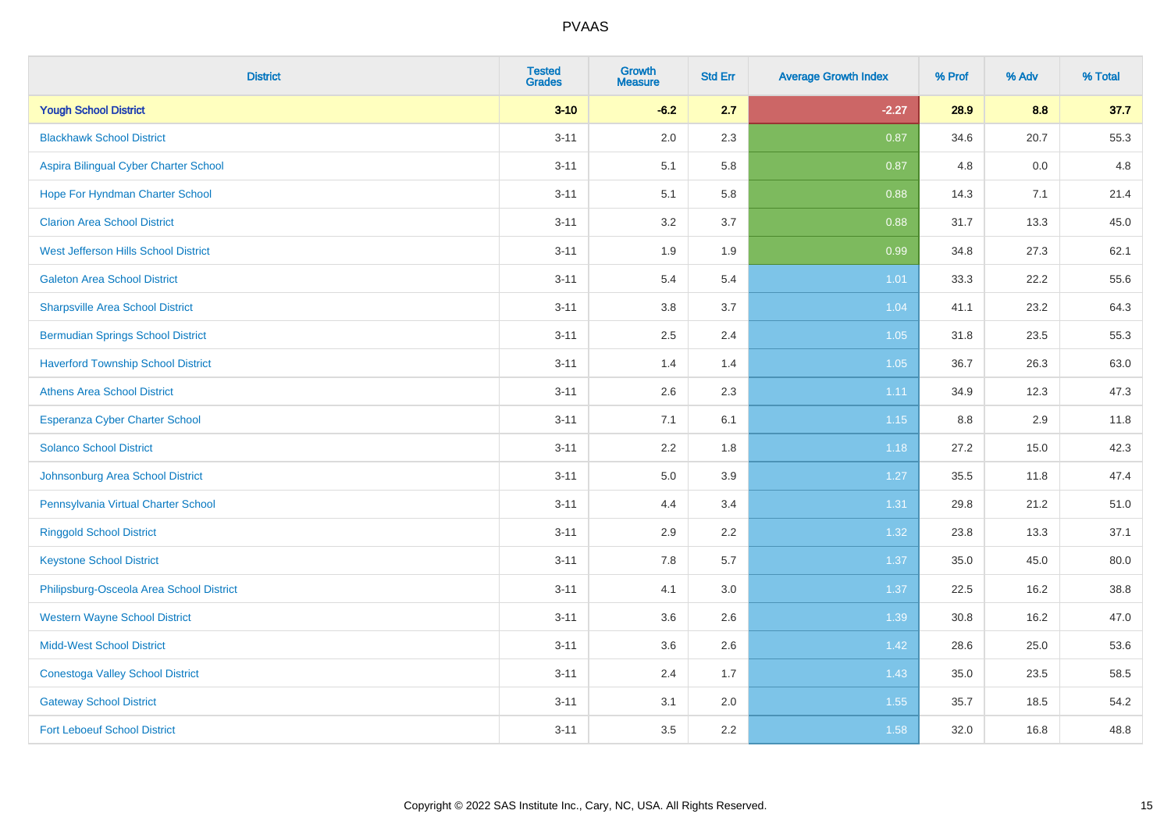| <b>District</b>                           | <b>Tested</b><br><b>Grades</b> | <b>Growth</b><br><b>Measure</b> | <b>Std Err</b> | <b>Average Growth Index</b> | % Prof | % Adv | % Total |
|-------------------------------------------|--------------------------------|---------------------------------|----------------|-----------------------------|--------|-------|---------|
| <b>Yough School District</b>              | $3 - 10$                       | $-6.2$                          | 2.7            | $-2.27$                     | 28.9   | 8.8   | 37.7    |
| <b>Blackhawk School District</b>          | $3 - 11$                       | 2.0                             | 2.3            | 0.87                        | 34.6   | 20.7  | 55.3    |
| Aspira Bilingual Cyber Charter School     | $3 - 11$                       | 5.1                             | 5.8            | 0.87                        | 4.8    | 0.0   | 4.8     |
| Hope For Hyndman Charter School           | $3 - 11$                       | 5.1                             | 5.8            | 0.88                        | 14.3   | 7.1   | 21.4    |
| <b>Clarion Area School District</b>       | $3 - 11$                       | 3.2                             | 3.7            | 0.88                        | 31.7   | 13.3  | 45.0    |
| West Jefferson Hills School District      | $3 - 11$                       | 1.9                             | 1.9            | 0.99                        | 34.8   | 27.3  | 62.1    |
| <b>Galeton Area School District</b>       | $3 - 11$                       | 5.4                             | 5.4            | $1.01$                      | 33.3   | 22.2  | 55.6    |
| <b>Sharpsville Area School District</b>   | $3 - 11$                       | 3.8                             | 3.7            | 1.04                        | 41.1   | 23.2  | 64.3    |
| <b>Bermudian Springs School District</b>  | $3 - 11$                       | 2.5                             | 2.4            | 1.05                        | 31.8   | 23.5  | 55.3    |
| <b>Haverford Township School District</b> | $3 - 11$                       | 1.4                             | 1.4            | 1.05                        | 36.7   | 26.3  | 63.0    |
| <b>Athens Area School District</b>        | $3 - 11$                       | 2.6                             | 2.3            | 1.11                        | 34.9   | 12.3  | 47.3    |
| <b>Esperanza Cyber Charter School</b>     | $3 - 11$                       | 7.1                             | 6.1            | 1.15                        | 8.8    | 2.9   | 11.8    |
| <b>Solanco School District</b>            | $3 - 11$                       | 2.2                             | 1.8            | 1.18                        | 27.2   | 15.0  | 42.3    |
| Johnsonburg Area School District          | $3 - 11$                       | $5.0\,$                         | 3.9            | 1.27                        | 35.5   | 11.8  | 47.4    |
| Pennsylvania Virtual Charter School       | $3 - 11$                       | 4.4                             | 3.4            | 1.31                        | 29.8   | 21.2  | 51.0    |
| <b>Ringgold School District</b>           | $3 - 11$                       | 2.9                             | 2.2            | 1.32                        | 23.8   | 13.3  | 37.1    |
| <b>Keystone School District</b>           | $3 - 11$                       | 7.8                             | 5.7            | 1.37                        | 35.0   | 45.0  | 80.0    |
| Philipsburg-Osceola Area School District  | $3 - 11$                       | 4.1                             | 3.0            | 1.37                        | 22.5   | 16.2  | 38.8    |
| <b>Western Wayne School District</b>      | $3 - 11$                       | 3.6                             | 2.6            | 1.39                        | 30.8   | 16.2  | 47.0    |
| <b>Midd-West School District</b>          | $3 - 11$                       | 3.6                             | 2.6            | 1.42                        | 28.6   | 25.0  | 53.6    |
| <b>Conestoga Valley School District</b>   | $3 - 11$                       | 2.4                             | 1.7            | 1.43                        | 35.0   | 23.5  | 58.5    |
| <b>Gateway School District</b>            | $3 - 11$                       | 3.1                             | 2.0            | 1.55                        | 35.7   | 18.5  | 54.2    |
| <b>Fort Leboeuf School District</b>       | $3 - 11$                       | 3.5                             | 2.2            | 1.58                        | 32.0   | 16.8  | 48.8    |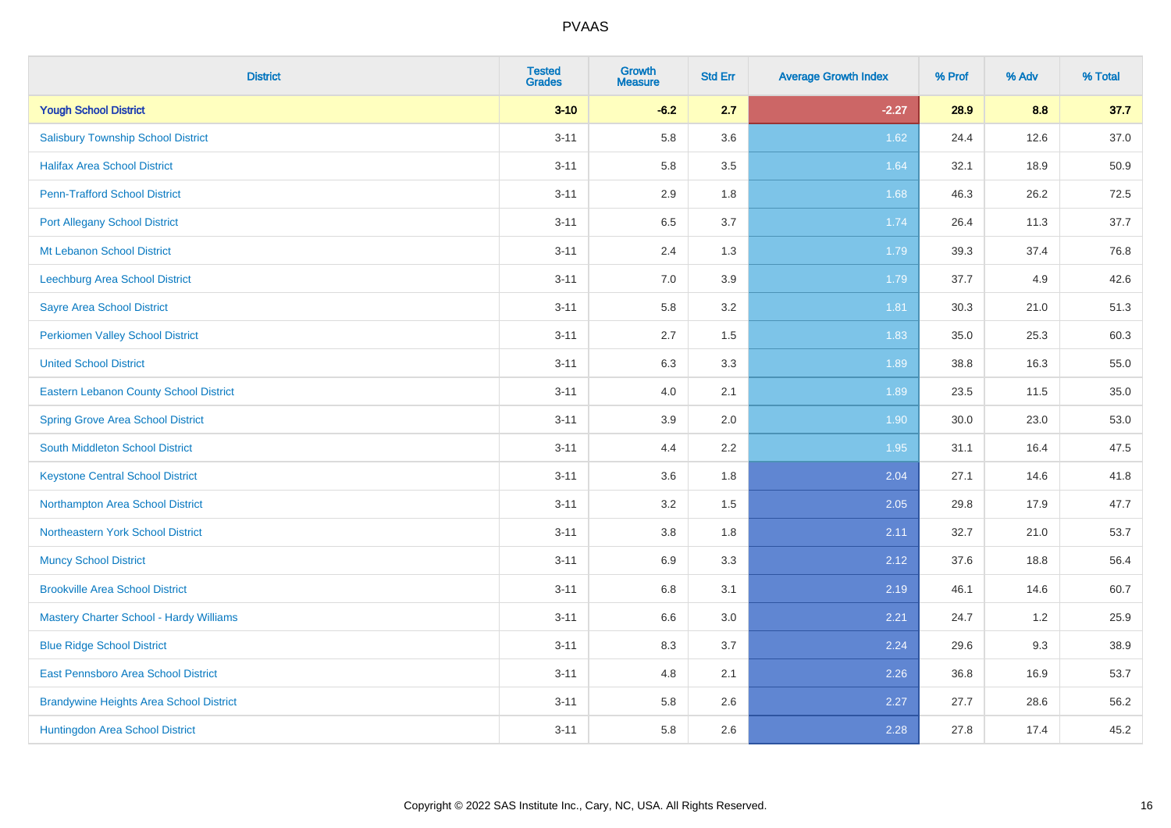| <b>District</b>                                | <b>Tested</b><br><b>Grades</b> | Growth<br><b>Measure</b> | <b>Std Err</b> | <b>Average Growth Index</b> | % Prof | % Adv | % Total |
|------------------------------------------------|--------------------------------|--------------------------|----------------|-----------------------------|--------|-------|---------|
| <b>Yough School District</b>                   | $3 - 10$                       | $-6.2$                   | 2.7            | $-2.27$                     | 28.9   | 8.8   | 37.7    |
| <b>Salisbury Township School District</b>      | $3 - 11$                       | 5.8                      | 3.6            | 1.62                        | 24.4   | 12.6  | 37.0    |
| <b>Halifax Area School District</b>            | $3 - 11$                       | 5.8                      | 3.5            | 1.64                        | 32.1   | 18.9  | 50.9    |
| <b>Penn-Trafford School District</b>           | $3 - 11$                       | 2.9                      | 1.8            | 1.68                        | 46.3   | 26.2  | 72.5    |
| <b>Port Allegany School District</b>           | $3 - 11$                       | 6.5                      | 3.7            | 1.74                        | 26.4   | 11.3  | 37.7    |
| Mt Lebanon School District                     | $3 - 11$                       | 2.4                      | 1.3            | 1.79                        | 39.3   | 37.4  | 76.8    |
| Leechburg Area School District                 | $3 - 11$                       | $7.0\,$                  | 3.9            | 1.79                        | 37.7   | 4.9   | 42.6    |
| <b>Sayre Area School District</b>              | $3 - 11$                       | 5.8                      | 3.2            | 1.81                        | 30.3   | 21.0  | 51.3    |
| <b>Perkiomen Valley School District</b>        | $3 - 11$                       | 2.7                      | 1.5            | 1.83                        | 35.0   | 25.3  | 60.3    |
| <b>United School District</b>                  | $3 - 11$                       | $6.3\,$                  | 3.3            | 1.89                        | 38.8   | 16.3  | 55.0    |
| <b>Eastern Lebanon County School District</b>  | $3 - 11$                       | 4.0                      | 2.1            | 1.89                        | 23.5   | 11.5  | 35.0    |
| <b>Spring Grove Area School District</b>       | $3 - 11$                       | 3.9                      | 2.0            | 1.90                        | 30.0   | 23.0  | 53.0    |
| South Middleton School District                | $3 - 11$                       | 4.4                      | 2.2            | 1.95                        | 31.1   | 16.4  | 47.5    |
| <b>Keystone Central School District</b>        | $3 - 11$                       | 3.6                      | 1.8            | 2.04                        | 27.1   | 14.6  | 41.8    |
| Northampton Area School District               | $3 - 11$                       | 3.2                      | 1.5            | 2.05                        | 29.8   | 17.9  | 47.7    |
| Northeastern York School District              | $3 - 11$                       | 3.8                      | 1.8            | 2.11                        | 32.7   | 21.0  | 53.7    |
| <b>Muncy School District</b>                   | $3 - 11$                       | 6.9                      | 3.3            | 2.12                        | 37.6   | 18.8  | 56.4    |
| <b>Brookville Area School District</b>         | $3 - 11$                       | 6.8                      | 3.1            | 2.19                        | 46.1   | 14.6  | 60.7    |
| <b>Mastery Charter School - Hardy Williams</b> | $3 - 11$                       | 6.6                      | 3.0            | 2.21                        | 24.7   | 1.2   | 25.9    |
| <b>Blue Ridge School District</b>              | $3 - 11$                       | 8.3                      | 3.7            | 2.24                        | 29.6   | 9.3   | 38.9    |
| East Pennsboro Area School District            | $3 - 11$                       | 4.8                      | 2.1            | 2.26                        | 36.8   | 16.9  | 53.7    |
| <b>Brandywine Heights Area School District</b> | $3 - 11$                       | 5.8                      | 2.6            | 2.27                        | 27.7   | 28.6  | 56.2    |
| Huntingdon Area School District                | $3 - 11$                       | 5.8                      | 2.6            | 2.28                        | 27.8   | 17.4  | 45.2    |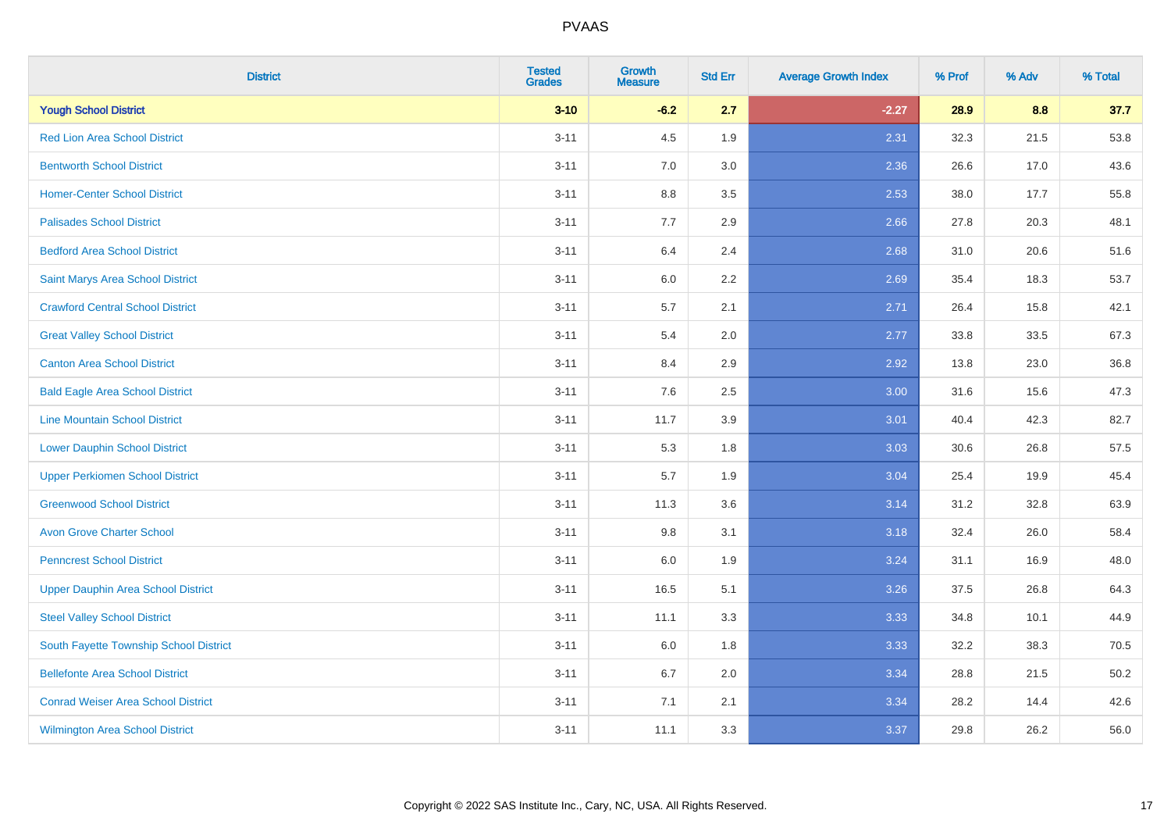| <b>District</b>                           | <b>Tested</b><br><b>Grades</b> | <b>Growth</b><br><b>Measure</b> | <b>Std Err</b> | <b>Average Growth Index</b> | % Prof | % Adv | % Total |
|-------------------------------------------|--------------------------------|---------------------------------|----------------|-----------------------------|--------|-------|---------|
| <b>Yough School District</b>              | $3 - 10$                       | $-6.2$                          | 2.7            | $-2.27$                     | 28.9   | 8.8   | 37.7    |
| <b>Red Lion Area School District</b>      | $3 - 11$                       | 4.5                             | 1.9            | 2.31                        | 32.3   | 21.5  | 53.8    |
| <b>Bentworth School District</b>          | $3 - 11$                       | 7.0                             | 3.0            | 2.36                        | 26.6   | 17.0  | 43.6    |
| <b>Homer-Center School District</b>       | $3 - 11$                       | 8.8                             | 3.5            | 2.53                        | 38.0   | 17.7  | 55.8    |
| <b>Palisades School District</b>          | $3 - 11$                       | 7.7                             | 2.9            | 2.66                        | 27.8   | 20.3  | 48.1    |
| <b>Bedford Area School District</b>       | $3 - 11$                       | 6.4                             | 2.4            | 2.68                        | 31.0   | 20.6  | 51.6    |
| Saint Marys Area School District          | $3 - 11$                       | 6.0                             | 2.2            | 2.69                        | 35.4   | 18.3  | 53.7    |
| <b>Crawford Central School District</b>   | $3 - 11$                       | 5.7                             | 2.1            | 2.71                        | 26.4   | 15.8  | 42.1    |
| <b>Great Valley School District</b>       | $3 - 11$                       | 5.4                             | 2.0            | 2.77                        | 33.8   | 33.5  | 67.3    |
| <b>Canton Area School District</b>        | $3 - 11$                       | 8.4                             | 2.9            | 2.92                        | 13.8   | 23.0  | 36.8    |
| <b>Bald Eagle Area School District</b>    | $3 - 11$                       | 7.6                             | 2.5            | 3.00                        | 31.6   | 15.6  | 47.3    |
| <b>Line Mountain School District</b>      | $3 - 11$                       | 11.7                            | 3.9            | 3.01                        | 40.4   | 42.3  | 82.7    |
| <b>Lower Dauphin School District</b>      | $3 - 11$                       | 5.3                             | 1.8            | 3.03                        | 30.6   | 26.8  | 57.5    |
| <b>Upper Perkiomen School District</b>    | $3 - 11$                       | 5.7                             | 1.9            | 3.04                        | 25.4   | 19.9  | 45.4    |
| <b>Greenwood School District</b>          | $3 - 11$                       | 11.3                            | 3.6            | 3.14                        | 31.2   | 32.8  | 63.9    |
| <b>Avon Grove Charter School</b>          | $3 - 11$                       | 9.8                             | 3.1            | 3.18                        | 32.4   | 26.0  | 58.4    |
| <b>Penncrest School District</b>          | $3 - 11$                       | 6.0                             | 1.9            | 3.24                        | 31.1   | 16.9  | 48.0    |
| <b>Upper Dauphin Area School District</b> | $3 - 11$                       | 16.5                            | 5.1            | 3.26                        | 37.5   | 26.8  | 64.3    |
| <b>Steel Valley School District</b>       | $3 - 11$                       | 11.1                            | 3.3            | 3.33                        | 34.8   | 10.1  | 44.9    |
| South Fayette Township School District    | $3 - 11$                       | 6.0                             | 1.8            | 3.33                        | 32.2   | 38.3  | 70.5    |
| <b>Bellefonte Area School District</b>    | $3 - 11$                       | 6.7                             | 2.0            | 3.34                        | 28.8   | 21.5  | 50.2    |
| <b>Conrad Weiser Area School District</b> | $3 - 11$                       | 7.1                             | 2.1            | 3.34                        | 28.2   | 14.4  | 42.6    |
| <b>Wilmington Area School District</b>    | $3 - 11$                       | 11.1                            | 3.3            | 3.37                        | 29.8   | 26.2  | 56.0    |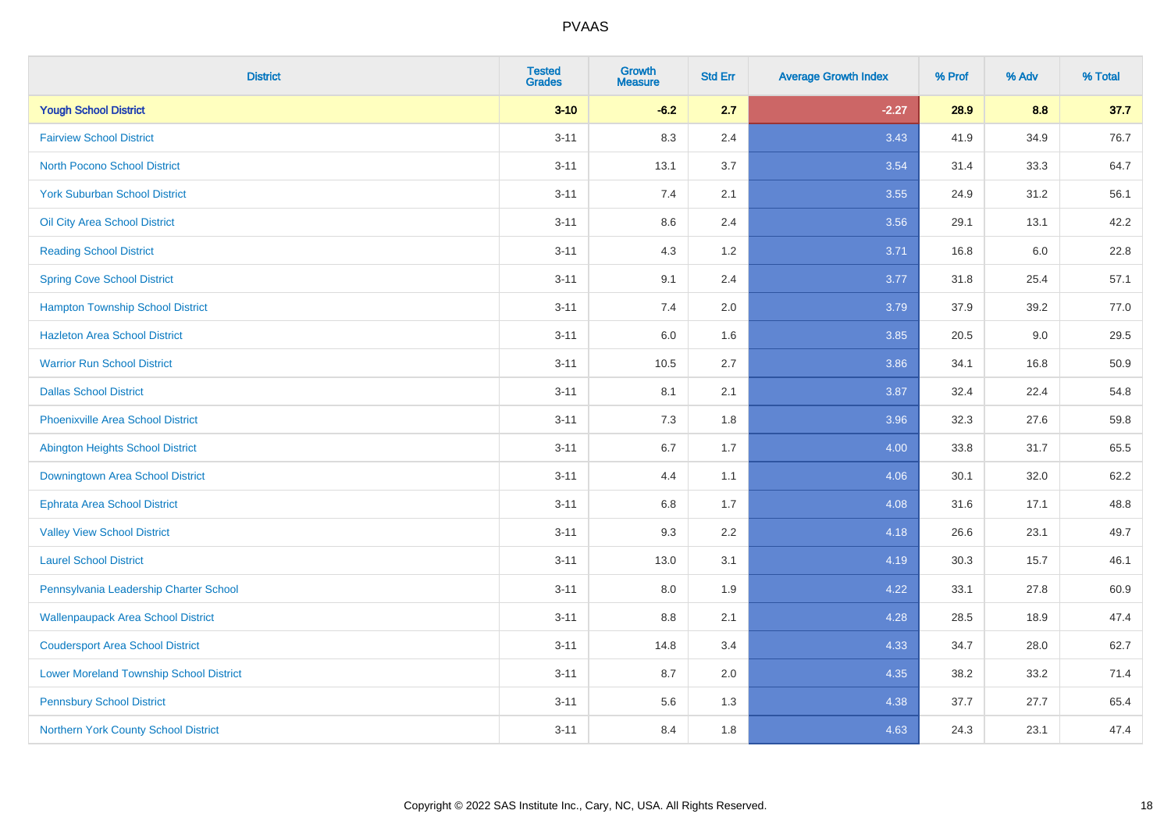| <b>District</b>                                | <b>Tested</b><br><b>Grades</b> | Growth<br><b>Measure</b> | <b>Std Err</b> | <b>Average Growth Index</b> | % Prof | % Adv   | % Total |
|------------------------------------------------|--------------------------------|--------------------------|----------------|-----------------------------|--------|---------|---------|
| <b>Yough School District</b>                   | $3 - 10$                       | $-6.2$                   | 2.7            | $-2.27$                     | 28.9   | 8.8     | 37.7    |
| <b>Fairview School District</b>                | $3 - 11$                       | 8.3                      | 2.4            | 3.43                        | 41.9   | 34.9    | 76.7    |
| <b>North Pocono School District</b>            | $3 - 11$                       | 13.1                     | 3.7            | 3.54                        | 31.4   | 33.3    | 64.7    |
| <b>York Suburban School District</b>           | $3 - 11$                       | 7.4                      | 2.1            | 3.55                        | 24.9   | 31.2    | 56.1    |
| Oil City Area School District                  | $3 - 11$                       | 8.6                      | 2.4            | 3.56                        | 29.1   | 13.1    | 42.2    |
| <b>Reading School District</b>                 | $3 - 11$                       | 4.3                      | 1.2            | 3.71                        | 16.8   | $6.0\,$ | 22.8    |
| <b>Spring Cove School District</b>             | $3 - 11$                       | 9.1                      | 2.4            | 3.77                        | 31.8   | 25.4    | 57.1    |
| <b>Hampton Township School District</b>        | $3 - 11$                       | 7.4                      | 2.0            | 3.79                        | 37.9   | 39.2    | 77.0    |
| <b>Hazleton Area School District</b>           | $3 - 11$                       | 6.0                      | 1.6            | 3.85                        | 20.5   | 9.0     | 29.5    |
| <b>Warrior Run School District</b>             | $3 - 11$                       | 10.5                     | 2.7            | 3.86                        | 34.1   | 16.8    | 50.9    |
| <b>Dallas School District</b>                  | $3 - 11$                       | 8.1                      | 2.1            | 3.87                        | 32.4   | 22.4    | 54.8    |
| <b>Phoenixville Area School District</b>       | $3 - 11$                       | 7.3                      | 1.8            | 3.96                        | 32.3   | 27.6    | 59.8    |
| Abington Heights School District               | $3 - 11$                       | 6.7                      | 1.7            | 4.00                        | 33.8   | 31.7    | 65.5    |
| Downingtown Area School District               | $3 - 11$                       | 4.4                      | 1.1            | 4.06                        | 30.1   | 32.0    | 62.2    |
| <b>Ephrata Area School District</b>            | $3 - 11$                       | 6.8                      | 1.7            | 4.08                        | 31.6   | 17.1    | 48.8    |
| <b>Valley View School District</b>             | $3 - 11$                       | 9.3                      | 2.2            | 4.18                        | 26.6   | 23.1    | 49.7    |
| <b>Laurel School District</b>                  | $3 - 11$                       | 13.0                     | 3.1            | 4.19                        | 30.3   | 15.7    | 46.1    |
| Pennsylvania Leadership Charter School         | $3 - 11$                       | 8.0                      | 1.9            | 4.22                        | 33.1   | 27.8    | 60.9    |
| <b>Wallenpaupack Area School District</b>      | $3 - 11$                       | 8.8                      | 2.1            | 4.28                        | 28.5   | 18.9    | 47.4    |
| <b>Coudersport Area School District</b>        | $3 - 11$                       | 14.8                     | 3.4            | 4.33                        | 34.7   | 28.0    | 62.7    |
| <b>Lower Moreland Township School District</b> | $3 - 11$                       | 8.7                      | 2.0            | 4.35                        | 38.2   | 33.2    | 71.4    |
| <b>Pennsbury School District</b>               | $3 - 11$                       | 5.6                      | 1.3            | 4.38                        | 37.7   | 27.7    | 65.4    |
| Northern York County School District           | $3 - 11$                       | 8.4                      | 1.8            | 4.63                        | 24.3   | 23.1    | 47.4    |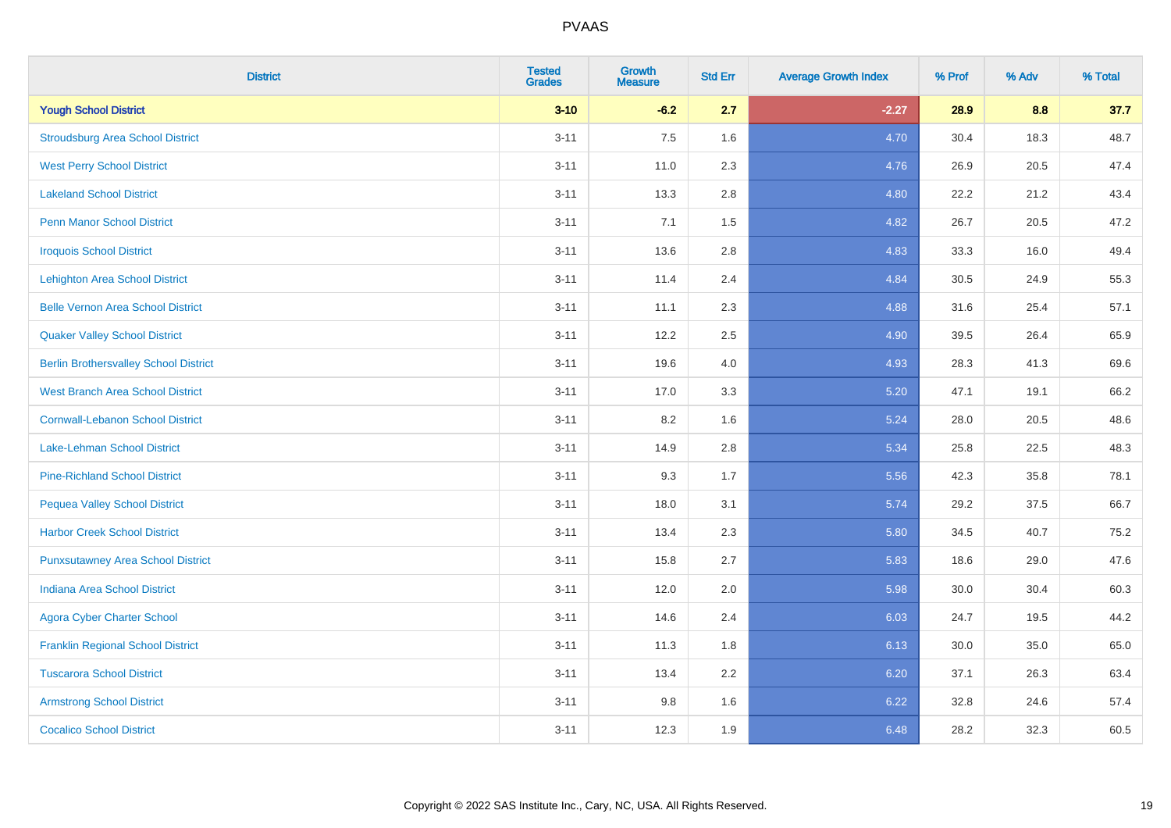| <b>District</b>                              | <b>Tested</b><br><b>Grades</b> | <b>Growth</b><br><b>Measure</b> | <b>Std Err</b> | <b>Average Growth Index</b> | % Prof | % Adv | % Total |
|----------------------------------------------|--------------------------------|---------------------------------|----------------|-----------------------------|--------|-------|---------|
| <b>Yough School District</b>                 | $3 - 10$                       | $-6.2$                          | 2.7            | $-2.27$                     | 28.9   | 8.8   | 37.7    |
| <b>Stroudsburg Area School District</b>      | $3 - 11$                       | 7.5                             | 1.6            | 4.70                        | 30.4   | 18.3  | 48.7    |
| <b>West Perry School District</b>            | $3 - 11$                       | 11.0                            | 2.3            | 4.76                        | 26.9   | 20.5  | 47.4    |
| <b>Lakeland School District</b>              | $3 - 11$                       | 13.3                            | 2.8            | 4.80                        | 22.2   | 21.2  | 43.4    |
| <b>Penn Manor School District</b>            | $3 - 11$                       | 7.1                             | 1.5            | 4.82                        | 26.7   | 20.5  | 47.2    |
| <b>Iroquois School District</b>              | $3 - 11$                       | 13.6                            | 2.8            | 4.83                        | 33.3   | 16.0  | 49.4    |
| <b>Lehighton Area School District</b>        | $3 - 11$                       | 11.4                            | 2.4            | 4.84                        | 30.5   | 24.9  | 55.3    |
| <b>Belle Vernon Area School District</b>     | $3 - 11$                       | 11.1                            | 2.3            | 4.88                        | 31.6   | 25.4  | 57.1    |
| <b>Quaker Valley School District</b>         | $3 - 11$                       | 12.2                            | 2.5            | 4.90                        | 39.5   | 26.4  | 65.9    |
| <b>Berlin Brothersvalley School District</b> | $3 - 11$                       | 19.6                            | 4.0            | 4.93                        | 28.3   | 41.3  | 69.6    |
| <b>West Branch Area School District</b>      | $3 - 11$                       | 17.0                            | 3.3            | 5.20                        | 47.1   | 19.1  | 66.2    |
| <b>Cornwall-Lebanon School District</b>      | $3 - 11$                       | 8.2                             | 1.6            | 5.24                        | 28.0   | 20.5  | 48.6    |
| Lake-Lehman School District                  | $3 - 11$                       | 14.9                            | 2.8            | 5.34                        | 25.8   | 22.5  | 48.3    |
| <b>Pine-Richland School District</b>         | $3 - 11$                       | 9.3                             | 1.7            | 5.56                        | 42.3   | 35.8  | 78.1    |
| <b>Pequea Valley School District</b>         | $3 - 11$                       | 18.0                            | 3.1            | 5.74                        | 29.2   | 37.5  | 66.7    |
| <b>Harbor Creek School District</b>          | $3 - 11$                       | 13.4                            | 2.3            | 5.80                        | 34.5   | 40.7  | 75.2    |
| <b>Punxsutawney Area School District</b>     | $3 - 11$                       | 15.8                            | 2.7            | 5.83                        | 18.6   | 29.0  | 47.6    |
| <b>Indiana Area School District</b>          | $3 - 11$                       | 12.0                            | 2.0            | 5.98                        | 30.0   | 30.4  | 60.3    |
| <b>Agora Cyber Charter School</b>            | $3 - 11$                       | 14.6                            | 2.4            | 6.03                        | 24.7   | 19.5  | 44.2    |
| <b>Franklin Regional School District</b>     | $3 - 11$                       | 11.3                            | 1.8            | 6.13                        | 30.0   | 35.0  | 65.0    |
| <b>Tuscarora School District</b>             | $3 - 11$                       | 13.4                            | 2.2            | 6.20                        | 37.1   | 26.3  | 63.4    |
| <b>Armstrong School District</b>             | $3 - 11$                       | 9.8                             | 1.6            | 6.22                        | 32.8   | 24.6  | 57.4    |
| <b>Cocalico School District</b>              | $3 - 11$                       | 12.3                            | 1.9            | 6.48                        | 28.2   | 32.3  | 60.5    |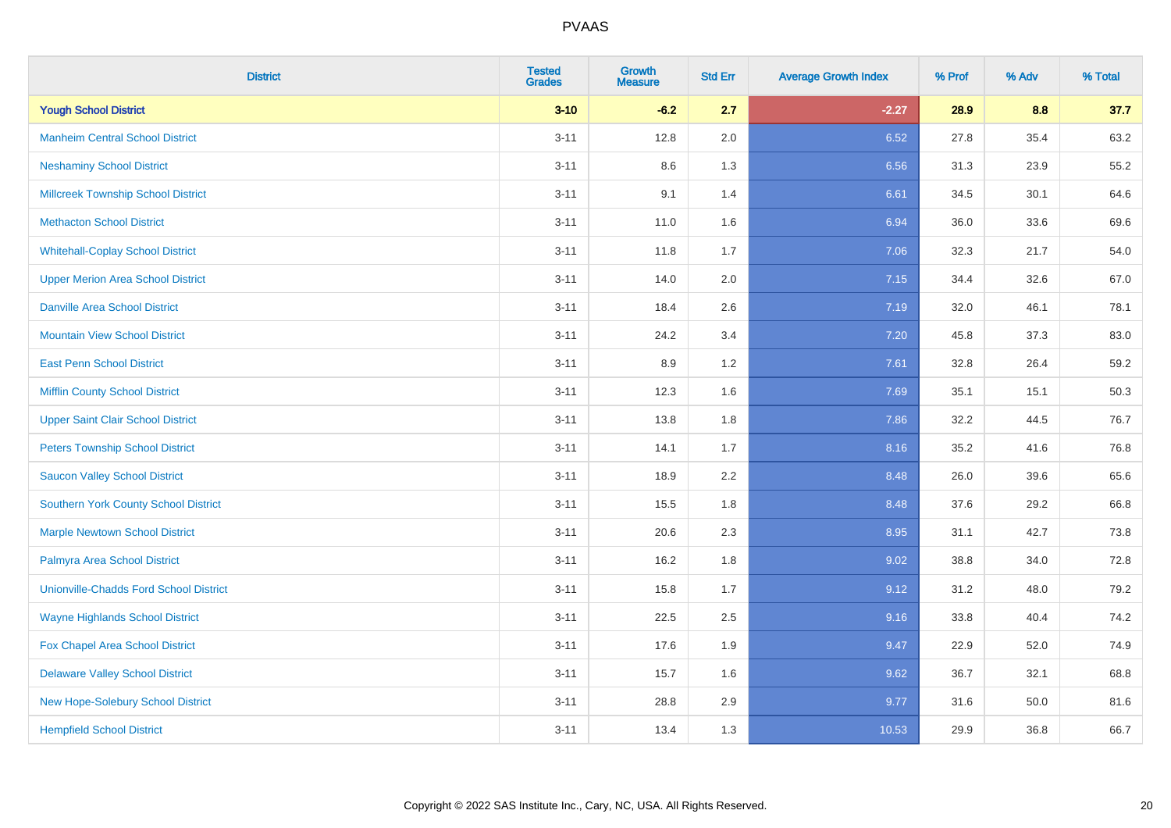| <b>District</b>                               | <b>Tested</b><br><b>Grades</b> | Growth<br><b>Measure</b> | <b>Std Err</b> | <b>Average Growth Index</b> | % Prof | % Adv | % Total |
|-----------------------------------------------|--------------------------------|--------------------------|----------------|-----------------------------|--------|-------|---------|
| <b>Yough School District</b>                  | $3 - 10$                       | $-6.2$                   | 2.7            | $-2.27$                     | 28.9   | 8.8   | 37.7    |
| <b>Manheim Central School District</b>        | $3 - 11$                       | 12.8                     | 2.0            | 6.52                        | 27.8   | 35.4  | 63.2    |
| <b>Neshaminy School District</b>              | $3 - 11$                       | 8.6                      | 1.3            | 6.56                        | 31.3   | 23.9  | 55.2    |
| <b>Millcreek Township School District</b>     | $3 - 11$                       | 9.1                      | 1.4            | 6.61                        | 34.5   | 30.1  | 64.6    |
| <b>Methacton School District</b>              | $3 - 11$                       | 11.0                     | 1.6            | 6.94                        | 36.0   | 33.6  | 69.6    |
| <b>Whitehall-Coplay School District</b>       | $3 - 11$                       | 11.8                     | 1.7            | 7.06                        | 32.3   | 21.7  | 54.0    |
| <b>Upper Merion Area School District</b>      | $3 - 11$                       | 14.0                     | 2.0            | 7.15                        | 34.4   | 32.6  | 67.0    |
| <b>Danville Area School District</b>          | $3 - 11$                       | 18.4                     | 2.6            | 7.19                        | 32.0   | 46.1  | 78.1    |
| <b>Mountain View School District</b>          | $3 - 11$                       | 24.2                     | 3.4            | 7.20                        | 45.8   | 37.3  | 83.0    |
| <b>East Penn School District</b>              | $3 - 11$                       | 8.9                      | $1.2\,$        | 7.61                        | 32.8   | 26.4  | 59.2    |
| <b>Mifflin County School District</b>         | $3 - 11$                       | 12.3                     | 1.6            | 7.69                        | 35.1   | 15.1  | 50.3    |
| <b>Upper Saint Clair School District</b>      | $3 - 11$                       | 13.8                     | 1.8            | 7.86                        | 32.2   | 44.5  | 76.7    |
| <b>Peters Township School District</b>        | $3 - 11$                       | 14.1                     | 1.7            | 8.16                        | 35.2   | 41.6  | 76.8    |
| <b>Saucon Valley School District</b>          | $3 - 11$                       | 18.9                     | 2.2            | 8.48                        | 26.0   | 39.6  | 65.6    |
| <b>Southern York County School District</b>   | $3 - 11$                       | 15.5                     | 1.8            | 8.48                        | 37.6   | 29.2  | 66.8    |
| <b>Marple Newtown School District</b>         | $3 - 11$                       | 20.6                     | 2.3            | 8.95                        | 31.1   | 42.7  | 73.8    |
| Palmyra Area School District                  | $3 - 11$                       | 16.2                     | 1.8            | 9.02                        | 38.8   | 34.0  | 72.8    |
| <b>Unionville-Chadds Ford School District</b> | $3 - 11$                       | 15.8                     | 1.7            | 9.12                        | 31.2   | 48.0  | 79.2    |
| <b>Wayne Highlands School District</b>        | $3 - 11$                       | 22.5                     | 2.5            | 9.16                        | 33.8   | 40.4  | 74.2    |
| Fox Chapel Area School District               | $3 - 11$                       | 17.6                     | 1.9            | 9.47                        | 22.9   | 52.0  | 74.9    |
| <b>Delaware Valley School District</b>        | $3 - 11$                       | 15.7                     | 1.6            | 9.62                        | 36.7   | 32.1  | 68.8    |
| New Hope-Solebury School District             | $3 - 11$                       | 28.8                     | 2.9            | 9.77                        | 31.6   | 50.0  | 81.6    |
| <b>Hempfield School District</b>              | $3 - 11$                       | 13.4                     | 1.3            | 10.53                       | 29.9   | 36.8  | 66.7    |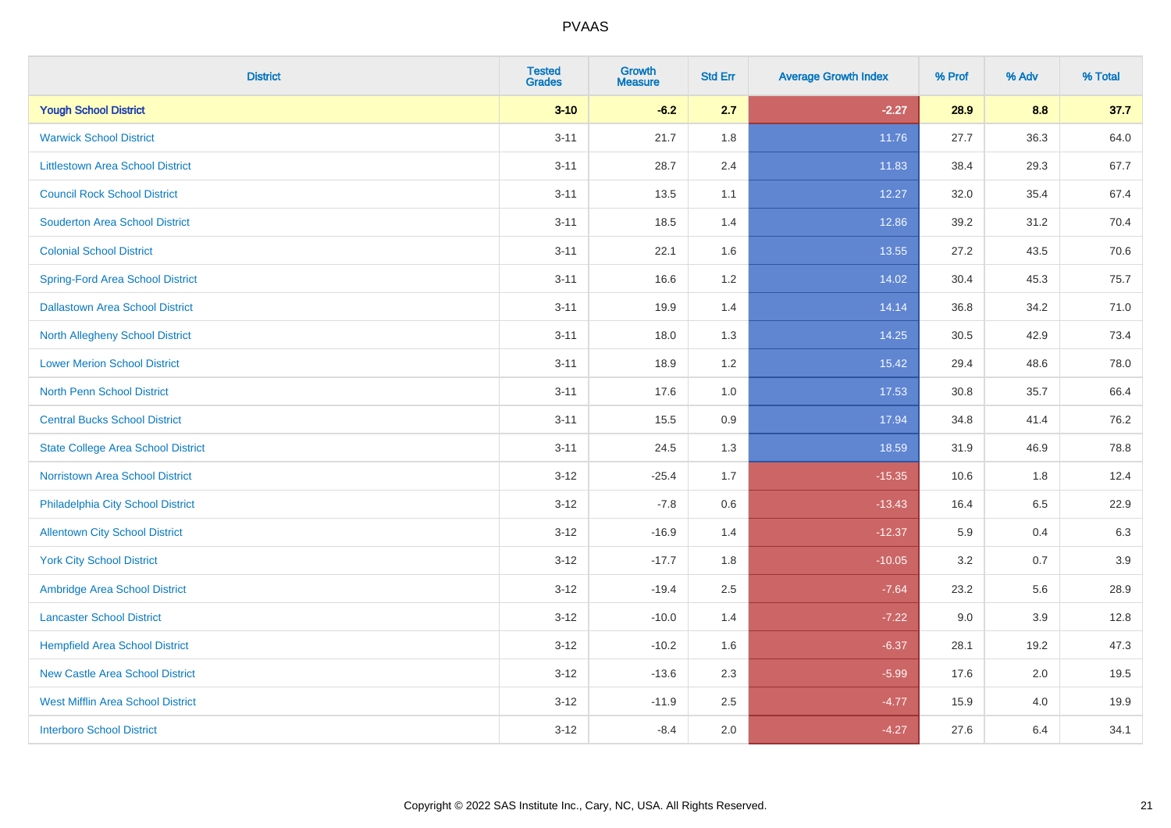| <b>District</b>                           | <b>Tested</b><br><b>Grades</b> | Growth<br><b>Measure</b> | <b>Std Err</b> | <b>Average Growth Index</b> | % Prof | % Adv | % Total |
|-------------------------------------------|--------------------------------|--------------------------|----------------|-----------------------------|--------|-------|---------|
| <b>Yough School District</b>              | $3 - 10$                       | $-6.2$                   | 2.7            | $-2.27$                     | 28.9   | 8.8   | 37.7    |
| <b>Warwick School District</b>            | $3 - 11$                       | 21.7                     | 1.8            | 11.76                       | 27.7   | 36.3  | 64.0    |
| <b>Littlestown Area School District</b>   | $3 - 11$                       | 28.7                     | 2.4            | 11.83                       | 38.4   | 29.3  | 67.7    |
| <b>Council Rock School District</b>       | $3 - 11$                       | 13.5                     | 1.1            | 12.27                       | 32.0   | 35.4  | 67.4    |
| <b>Souderton Area School District</b>     | $3 - 11$                       | 18.5                     | 1.4            | 12.86                       | 39.2   | 31.2  | 70.4    |
| <b>Colonial School District</b>           | $3 - 11$                       | 22.1                     | 1.6            | 13.55                       | 27.2   | 43.5  | 70.6    |
| <b>Spring-Ford Area School District</b>   | $3 - 11$                       | 16.6                     | 1.2            | 14.02                       | 30.4   | 45.3  | 75.7    |
| <b>Dallastown Area School District</b>    | $3 - 11$                       | 19.9                     | 1.4            | 14.14                       | 36.8   | 34.2  | 71.0    |
| <b>North Allegheny School District</b>    | $3 - 11$                       | 18.0                     | 1.3            | 14.25                       | 30.5   | 42.9  | 73.4    |
| <b>Lower Merion School District</b>       | $3 - 11$                       | 18.9                     | 1.2            | 15.42                       | 29.4   | 48.6  | 78.0    |
| <b>North Penn School District</b>         | $3 - 11$                       | 17.6                     | 1.0            | 17.53                       | 30.8   | 35.7  | 66.4    |
| <b>Central Bucks School District</b>      | $3 - 11$                       | 15.5                     | 0.9            | 17.94                       | 34.8   | 41.4  | 76.2    |
| <b>State College Area School District</b> | $3 - 11$                       | 24.5                     | 1.3            | 18.59                       | 31.9   | 46.9  | 78.8    |
| Norristown Area School District           | $3 - 12$                       | $-25.4$                  | 1.7            | $-15.35$                    | 10.6   | 1.8   | 12.4    |
| Philadelphia City School District         | $3 - 12$                       | $-7.8$                   | 0.6            | $-13.43$                    | 16.4   | 6.5   | 22.9    |
| <b>Allentown City School District</b>     | $3 - 12$                       | $-16.9$                  | 1.4            | $-12.37$                    | 5.9    | 0.4   | 6.3     |
| <b>York City School District</b>          | $3 - 12$                       | $-17.7$                  | 1.8            | $-10.05$                    | 3.2    | 0.7   | 3.9     |
| Ambridge Area School District             | $3 - 12$                       | $-19.4$                  | 2.5            | $-7.64$                     | 23.2   | 5.6   | 28.9    |
| <b>Lancaster School District</b>          | $3 - 12$                       | $-10.0$                  | 1.4            | $-7.22$                     | 9.0    | 3.9   | 12.8    |
| <b>Hempfield Area School District</b>     | $3 - 12$                       | $-10.2$                  | 1.6            | $-6.37$                     | 28.1   | 19.2  | 47.3    |
| <b>New Castle Area School District</b>    | $3 - 12$                       | $-13.6$                  | 2.3            | $-5.99$                     | 17.6   | 2.0   | 19.5    |
| <b>West Mifflin Area School District</b>  | $3 - 12$                       | $-11.9$                  | 2.5            | $-4.77$                     | 15.9   | 4.0   | 19.9    |
| <b>Interboro School District</b>          | $3 - 12$                       | $-8.4$                   | 2.0            | $-4.27$                     | 27.6   | 6.4   | 34.1    |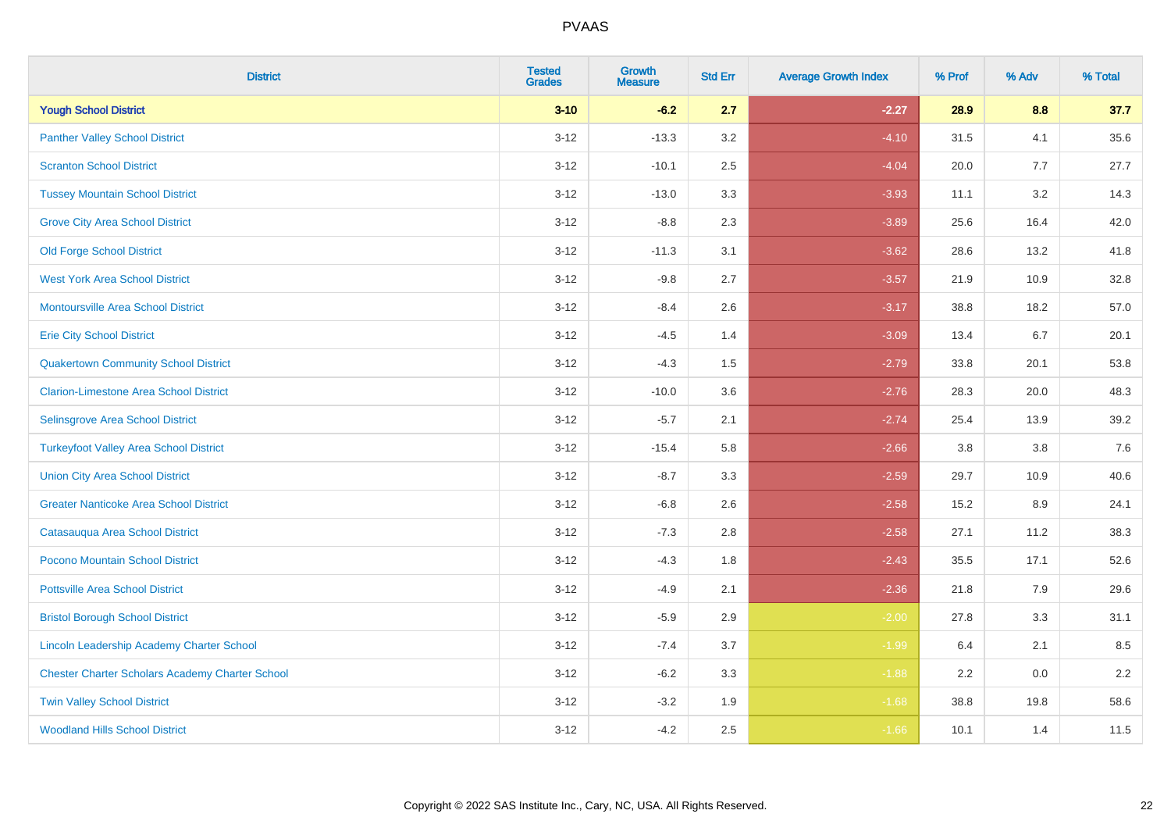| <b>District</b>                                        | <b>Tested</b><br><b>Grades</b> | <b>Growth</b><br><b>Measure</b> | <b>Std Err</b> | <b>Average Growth Index</b> | % Prof | % Adv   | % Total |
|--------------------------------------------------------|--------------------------------|---------------------------------|----------------|-----------------------------|--------|---------|---------|
| <b>Yough School District</b>                           | $3 - 10$                       | $-6.2$                          | 2.7            | $-2.27$                     | 28.9   | 8.8     | 37.7    |
| <b>Panther Valley School District</b>                  | $3 - 12$                       | $-13.3$                         | 3.2            | $-4.10$                     | 31.5   | 4.1     | 35.6    |
| <b>Scranton School District</b>                        | $3 - 12$                       | $-10.1$                         | 2.5            | $-4.04$                     | 20.0   | 7.7     | 27.7    |
| <b>Tussey Mountain School District</b>                 | $3 - 12$                       | $-13.0$                         | 3.3            | $-3.93$                     | 11.1   | 3.2     | 14.3    |
| <b>Grove City Area School District</b>                 | $3 - 12$                       | $-8.8$                          | 2.3            | $-3.89$                     | 25.6   | 16.4    | 42.0    |
| <b>Old Forge School District</b>                       | $3 - 12$                       | $-11.3$                         | 3.1            | $-3.62$                     | 28.6   | 13.2    | 41.8    |
| <b>West York Area School District</b>                  | $3 - 12$                       | $-9.8$                          | 2.7            | $-3.57$                     | 21.9   | 10.9    | 32.8    |
| <b>Montoursville Area School District</b>              | $3 - 12$                       | $-8.4$                          | 2.6            | $-3.17$                     | 38.8   | 18.2    | 57.0    |
| <b>Erie City School District</b>                       | $3 - 12$                       | $-4.5$                          | 1.4            | $-3.09$                     | 13.4   | 6.7     | 20.1    |
| <b>Quakertown Community School District</b>            | $3 - 12$                       | $-4.3$                          | 1.5            | $-2.79$                     | 33.8   | 20.1    | 53.8    |
| <b>Clarion-Limestone Area School District</b>          | $3 - 12$                       | $-10.0$                         | 3.6            | $-2.76$                     | 28.3   | 20.0    | 48.3    |
| Selinsgrove Area School District                       | $3 - 12$                       | $-5.7$                          | 2.1            | $-2.74$                     | 25.4   | 13.9    | 39.2    |
| <b>Turkeyfoot Valley Area School District</b>          | $3 - 12$                       | $-15.4$                         | 5.8            | $-2.66$                     | 3.8    | $3.8\,$ | 7.6     |
| <b>Union City Area School District</b>                 | $3 - 12$                       | $-8.7$                          | 3.3            | $-2.59$                     | 29.7   | 10.9    | 40.6    |
| <b>Greater Nanticoke Area School District</b>          | $3 - 12$                       | $-6.8$                          | 2.6            | $-2.58$                     | 15.2   | 8.9     | 24.1    |
| Catasauqua Area School District                        | $3 - 12$                       | $-7.3$                          | 2.8            | $-2.58$                     | 27.1   | 11.2    | 38.3    |
| Pocono Mountain School District                        | $3 - 12$                       | $-4.3$                          | 1.8            | $-2.43$                     | 35.5   | 17.1    | 52.6    |
| <b>Pottsville Area School District</b>                 | $3 - 12$                       | $-4.9$                          | 2.1            | $-2.36$                     | 21.8   | 7.9     | 29.6    |
| <b>Bristol Borough School District</b>                 | $3 - 12$                       | $-5.9$                          | 2.9            | $-2.00$                     | 27.8   | 3.3     | 31.1    |
| Lincoln Leadership Academy Charter School              | $3 - 12$                       | $-7.4$                          | 3.7            | $-1.99$                     | 6.4    | 2.1     | 8.5     |
| <b>Chester Charter Scholars Academy Charter School</b> | $3 - 12$                       | $-6.2$                          | 3.3            | $-1.88$                     | 2.2    | 0.0     | 2.2     |
| <b>Twin Valley School District</b>                     | $3 - 12$                       | $-3.2$                          | 1.9            | $-1.68$                     | 38.8   | 19.8    | 58.6    |
| <b>Woodland Hills School District</b>                  | $3 - 12$                       | $-4.2$                          | 2.5            | $-1.66$                     | 10.1   | 1.4     | 11.5    |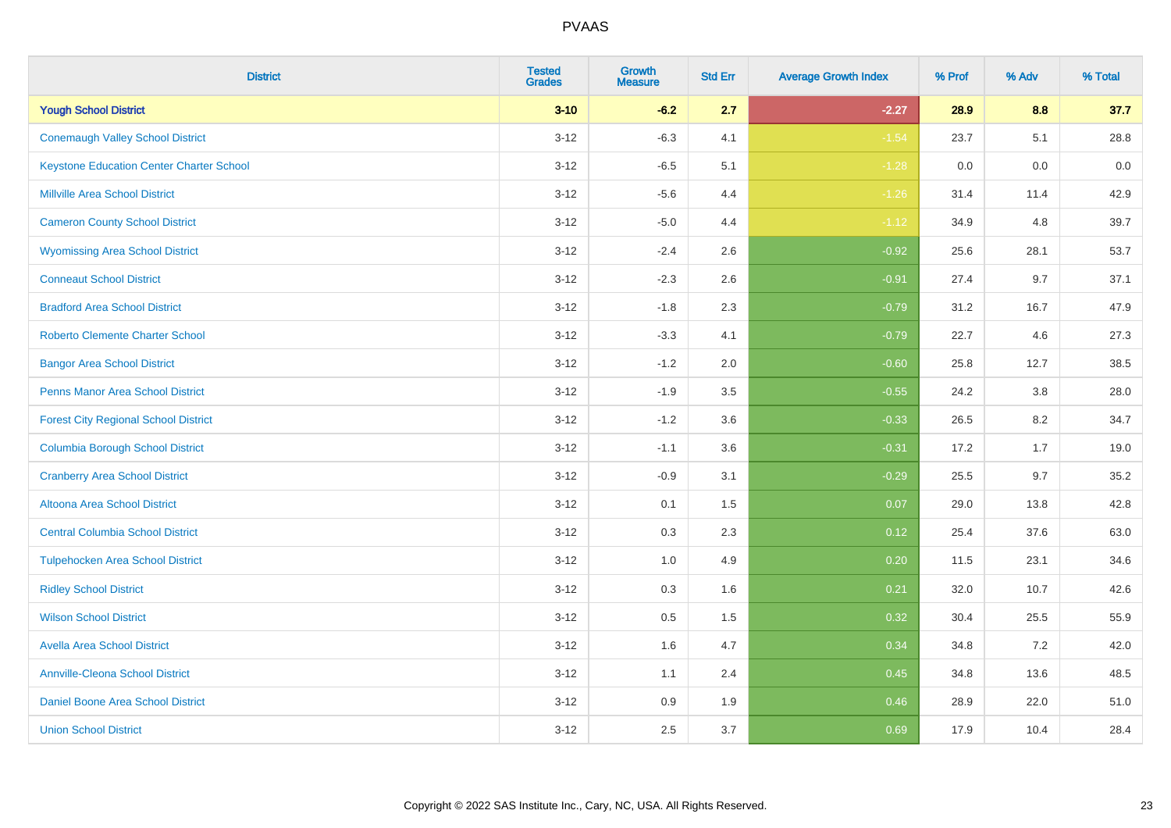| <b>District</b>                                 | <b>Tested</b><br><b>Grades</b> | <b>Growth</b><br><b>Measure</b> | <b>Std Err</b> | <b>Average Growth Index</b> | % Prof | % Adv | % Total |
|-------------------------------------------------|--------------------------------|---------------------------------|----------------|-----------------------------|--------|-------|---------|
| <b>Yough School District</b>                    | $3 - 10$                       | $-6.2$                          | 2.7            | $-2.27$                     | 28.9   | 8.8   | 37.7    |
| <b>Conemaugh Valley School District</b>         | $3 - 12$                       | $-6.3$                          | 4.1            | $-1.54$                     | 23.7   | 5.1   | 28.8    |
| <b>Keystone Education Center Charter School</b> | $3 - 12$                       | $-6.5$                          | 5.1            | $-1.28$                     | 0.0    | 0.0   | 0.0     |
| <b>Millville Area School District</b>           | $3 - 12$                       | $-5.6$                          | 4.4            | $-1.26$                     | 31.4   | 11.4  | 42.9    |
| <b>Cameron County School District</b>           | $3-12$                         | $-5.0$                          | 4.4            | $-1.12$                     | 34.9   | 4.8   | 39.7    |
| <b>Wyomissing Area School District</b>          | $3 - 12$                       | $-2.4$                          | 2.6            | $-0.92$                     | 25.6   | 28.1  | 53.7    |
| <b>Conneaut School District</b>                 | $3 - 12$                       | $-2.3$                          | 2.6            | $-0.91$                     | 27.4   | 9.7   | 37.1    |
| <b>Bradford Area School District</b>            | $3 - 12$                       | $-1.8$                          | 2.3            | $-0.79$                     | 31.2   | 16.7  | 47.9    |
| <b>Roberto Clemente Charter School</b>          | $3 - 12$                       | $-3.3$                          | 4.1            | $-0.79$                     | 22.7   | 4.6   | 27.3    |
| <b>Bangor Area School District</b>              | $3 - 12$                       | $-1.2$                          | 2.0            | $-0.60$                     | 25.8   | 12.7  | 38.5    |
| <b>Penns Manor Area School District</b>         | $3 - 12$                       | $-1.9$                          | 3.5            | $-0.55$                     | 24.2   | 3.8   | 28.0    |
| <b>Forest City Regional School District</b>     | $3 - 12$                       | $-1.2$                          | 3.6            | $-0.33$                     | 26.5   | 8.2   | 34.7    |
| <b>Columbia Borough School District</b>         | $3 - 12$                       | $-1.1$                          | 3.6            | $-0.31$                     | 17.2   | 1.7   | 19.0    |
| <b>Cranberry Area School District</b>           | $3 - 12$                       | $-0.9$                          | 3.1            | $-0.29$                     | 25.5   | 9.7   | 35.2    |
| Altoona Area School District                    | $3 - 12$                       | 0.1                             | 1.5            | 0.07                        | 29.0   | 13.8  | 42.8    |
| <b>Central Columbia School District</b>         | $3 - 12$                       | 0.3                             | 2.3            | 0.12                        | 25.4   | 37.6  | 63.0    |
| <b>Tulpehocken Area School District</b>         | $3 - 12$                       | 1.0                             | 4.9            | 0.20                        | 11.5   | 23.1  | 34.6    |
| <b>Ridley School District</b>                   | $3 - 12$                       | 0.3                             | 1.6            | 0.21                        | 32.0   | 10.7  | 42.6    |
| <b>Wilson School District</b>                   | $3 - 12$                       | $0.5\,$                         | 1.5            | 0.32                        | 30.4   | 25.5  | 55.9    |
| <b>Avella Area School District</b>              | $3-12$                         | 1.6                             | 4.7            | 0.34                        | 34.8   | 7.2   | 42.0    |
| <b>Annville-Cleona School District</b>          | $3 - 12$                       | 1.1                             | 2.4            | 0.45                        | 34.8   | 13.6  | 48.5    |
| Daniel Boone Area School District               | $3 - 12$                       | $0.9\,$                         | 1.9            | 0.46                        | 28.9   | 22.0  | 51.0    |
| <b>Union School District</b>                    | $3-12$                         | 2.5                             | 3.7            | 0.69                        | 17.9   | 10.4  | 28.4    |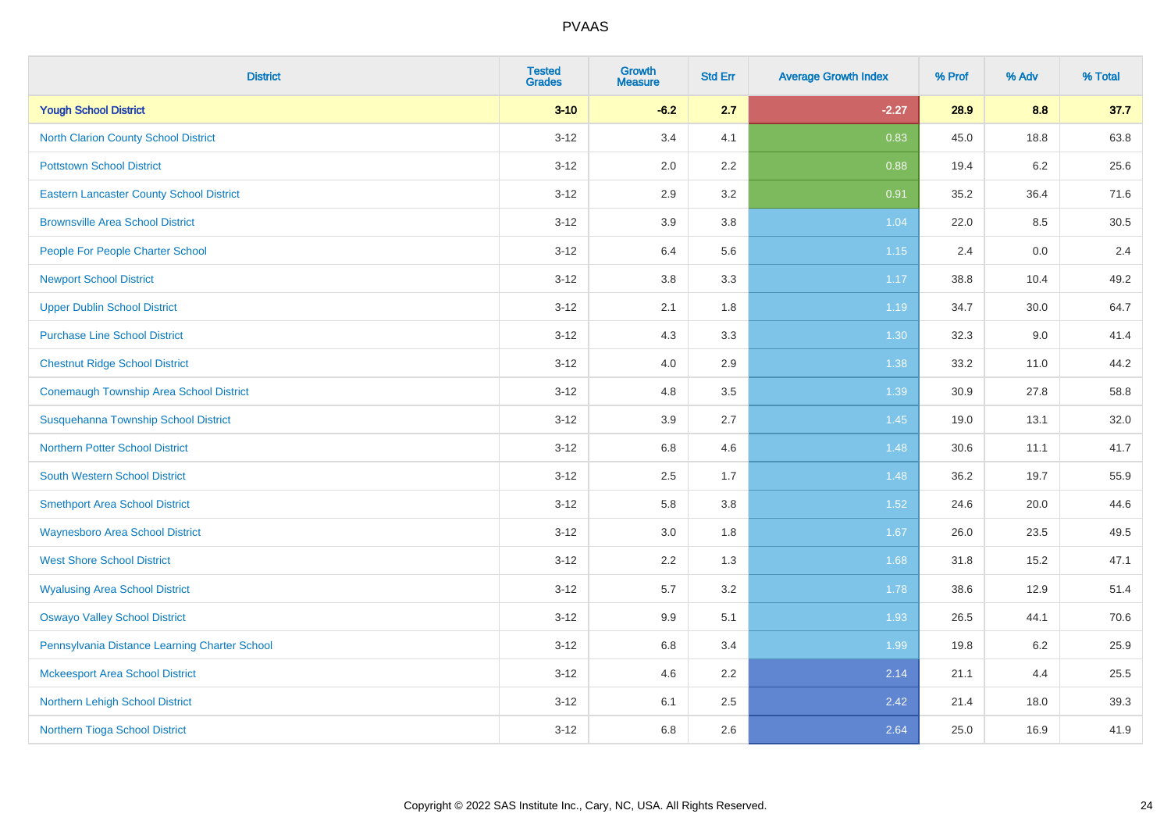| <b>District</b>                                 | <b>Tested</b><br><b>Grades</b> | <b>Growth</b><br><b>Measure</b> | <b>Std Err</b> | <b>Average Growth Index</b> | % Prof | % Adv   | % Total |
|-------------------------------------------------|--------------------------------|---------------------------------|----------------|-----------------------------|--------|---------|---------|
| <b>Yough School District</b>                    | $3 - 10$                       | $-6.2$                          | 2.7            | $-2.27$                     | 28.9   | 8.8     | 37.7    |
| <b>North Clarion County School District</b>     | $3 - 12$                       | 3.4                             | 4.1            | 0.83                        | 45.0   | 18.8    | 63.8    |
| <b>Pottstown School District</b>                | $3 - 12$                       | 2.0                             | 2.2            | 0.88                        | 19.4   | $6.2\,$ | 25.6    |
| <b>Eastern Lancaster County School District</b> | $3 - 12$                       | 2.9                             | 3.2            | 0.91                        | 35.2   | 36.4    | 71.6    |
| <b>Brownsville Area School District</b>         | $3 - 12$                       | 3.9                             | 3.8            | 1.04                        | 22.0   | 8.5     | 30.5    |
| People For People Charter School                | $3 - 12$                       | 6.4                             | 5.6            | 1.15                        | 2.4    | 0.0     | 2.4     |
| <b>Newport School District</b>                  | $3 - 12$                       | $3.8\,$                         | 3.3            | 1.17                        | 38.8   | 10.4    | 49.2    |
| <b>Upper Dublin School District</b>             | $3 - 12$                       | 2.1                             | 1.8            | 1.19                        | 34.7   | 30.0    | 64.7    |
| <b>Purchase Line School District</b>            | $3 - 12$                       | 4.3                             | 3.3            | 1.30                        | 32.3   | 9.0     | 41.4    |
| <b>Chestnut Ridge School District</b>           | $3 - 12$                       | 4.0                             | 2.9            | 1.38                        | 33.2   | 11.0    | 44.2    |
| <b>Conemaugh Township Area School District</b>  | $3 - 12$                       | 4.8                             | 3.5            | 1.39                        | 30.9   | 27.8    | 58.8    |
| Susquehanna Township School District            | $3 - 12$                       | 3.9                             | 2.7            | 1.45                        | 19.0   | 13.1    | 32.0    |
| <b>Northern Potter School District</b>          | $3 - 12$                       | 6.8                             | 4.6            | 1.48                        | 30.6   | 11.1    | 41.7    |
| <b>South Western School District</b>            | $3 - 12$                       | 2.5                             | 1.7            | 1.48                        | 36.2   | 19.7    | 55.9    |
| <b>Smethport Area School District</b>           | $3 - 12$                       | 5.8                             | 3.8            | 1.52                        | 24.6   | 20.0    | 44.6    |
| <b>Waynesboro Area School District</b>          | $3 - 12$                       | 3.0                             | 1.8            | 1.67                        | 26.0   | 23.5    | 49.5    |
| <b>West Shore School District</b>               | $3 - 12$                       | 2.2                             | 1.3            | 1.68                        | 31.8   | 15.2    | 47.1    |
| <b>Wyalusing Area School District</b>           | $3 - 12$                       | 5.7                             | 3.2            | 1.78                        | 38.6   | 12.9    | 51.4    |
| <b>Oswayo Valley School District</b>            | $3 - 12$                       | 9.9                             | 5.1            | 1.93                        | 26.5   | 44.1    | 70.6    |
| Pennsylvania Distance Learning Charter School   | $3 - 12$                       | 6.8                             | 3.4            | 1.99                        | 19.8   | $6.2\,$ | 25.9    |
| <b>Mckeesport Area School District</b>          | $3-12$                         | 4.6                             | 2.2            | 2.14                        | 21.1   | 4.4     | 25.5    |
| Northern Lehigh School District                 | $3 - 12$                       | 6.1                             | 2.5            | 2.42                        | 21.4   | 18.0    | 39.3    |
| Northern Tioga School District                  | $3 - 12$                       | 6.8                             | 2.6            | 2.64                        | 25.0   | 16.9    | 41.9    |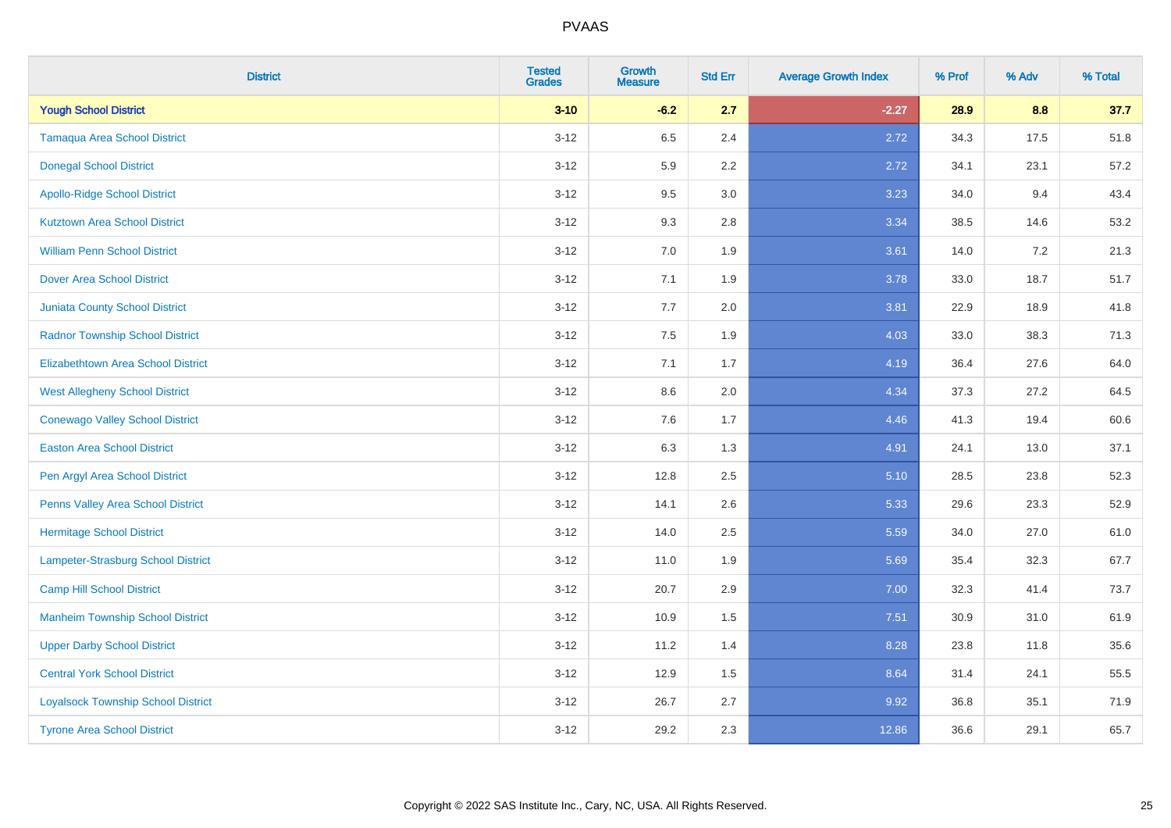| <b>District</b>                           | <b>Tested</b><br><b>Grades</b> | <b>Growth</b><br><b>Measure</b> | <b>Std Err</b> | <b>Average Growth Index</b> | % Prof | % Adv   | % Total |
|-------------------------------------------|--------------------------------|---------------------------------|----------------|-----------------------------|--------|---------|---------|
| <b>Yough School District</b>              | $3 - 10$                       | $-6.2$                          | 2.7            | $-2.27$                     | 28.9   | 8.8     | 37.7    |
| <b>Tamaqua Area School District</b>       | $3 - 12$                       | 6.5                             | 2.4            | 2.72                        | 34.3   | 17.5    | 51.8    |
| <b>Donegal School District</b>            | $3-12$                         | 5.9                             | 2.2            | 2.72                        | 34.1   | 23.1    | 57.2    |
| <b>Apollo-Ridge School District</b>       | $3 - 12$                       | 9.5                             | $3.0\,$        | 3.23                        | 34.0   | 9.4     | 43.4    |
| <b>Kutztown Area School District</b>      | $3 - 12$                       | 9.3                             | 2.8            | 3.34                        | 38.5   | 14.6    | 53.2    |
| <b>William Penn School District</b>       | $3-12$                         | 7.0                             | 1.9            | 3.61                        | 14.0   | $7.2\,$ | 21.3    |
| <b>Dover Area School District</b>         | $3 - 12$                       | 7.1                             | 1.9            | 3.78                        | 33.0   | 18.7    | 51.7    |
| <b>Juniata County School District</b>     | $3 - 12$                       | 7.7                             | 2.0            | 3.81                        | 22.9   | 18.9    | 41.8    |
| <b>Radnor Township School District</b>    | $3-12$                         | 7.5                             | 1.9            | 4.03                        | 33.0   | 38.3    | 71.3    |
| Elizabethtown Area School District        | $3 - 12$                       | 7.1                             | 1.7            | 4.19                        | 36.4   | 27.6    | 64.0    |
| <b>West Allegheny School District</b>     | $3-12$                         | 8.6                             | 2.0            | 4.34                        | 37.3   | 27.2    | 64.5    |
| <b>Conewago Valley School District</b>    | $3-12$                         | 7.6                             | 1.7            | 4.46                        | 41.3   | 19.4    | 60.6    |
| <b>Easton Area School District</b>        | $3 - 12$                       | 6.3                             | 1.3            | 4.91                        | 24.1   | 13.0    | 37.1    |
| Pen Argyl Area School District            | $3-12$                         | 12.8                            | 2.5            | 5.10                        | 28.5   | 23.8    | 52.3    |
| Penns Valley Area School District         | $3-12$                         | 14.1                            | 2.6            | 5.33                        | 29.6   | 23.3    | 52.9    |
| <b>Hermitage School District</b>          | $3 - 12$                       | 14.0                            | 2.5            | 5.59                        | 34.0   | 27.0    | 61.0    |
| Lampeter-Strasburg School District        | $3-12$                         | 11.0                            | 1.9            | 5.69                        | 35.4   | 32.3    | 67.7    |
| <b>Camp Hill School District</b>          | $3-12$                         | 20.7                            | 2.9            | 7.00                        | 32.3   | 41.4    | 73.7    |
| <b>Manheim Township School District</b>   | $3 - 12$                       | 10.9                            | 1.5            | 7.51                        | 30.9   | 31.0    | 61.9    |
| <b>Upper Darby School District</b>        | $3-12$                         | 11.2                            | 1.4            | 8.28                        | 23.8   | 11.8    | 35.6    |
| <b>Central York School District</b>       | $3-12$                         | 12.9                            | 1.5            | 8.64                        | 31.4   | 24.1    | 55.5    |
| <b>Loyalsock Township School District</b> | $3 - 12$                       | 26.7                            | 2.7            | 9.92                        | 36.8   | 35.1    | 71.9    |
| <b>Tyrone Area School District</b>        | $3-12$                         | 29.2                            | 2.3            | 12.86                       | 36.6   | 29.1    | 65.7    |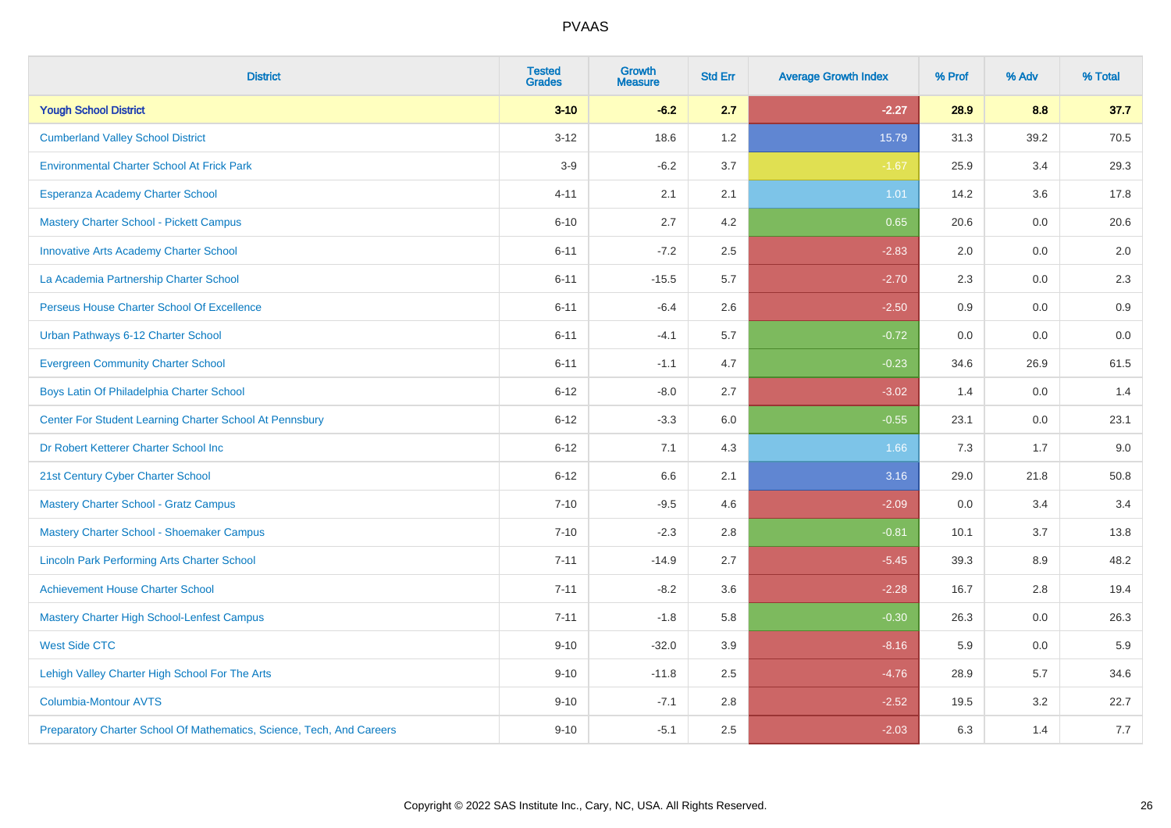| <b>District</b>                                                       | <b>Tested</b><br><b>Grades</b> | <b>Growth</b><br><b>Measure</b> | <b>Std Err</b> | <b>Average Growth Index</b> | % Prof | % Adv | % Total |
|-----------------------------------------------------------------------|--------------------------------|---------------------------------|----------------|-----------------------------|--------|-------|---------|
| <b>Yough School District</b>                                          | $3 - 10$                       | $-6.2$                          | 2.7            | $-2.27$                     | 28.9   | 8.8   | 37.7    |
| <b>Cumberland Valley School District</b>                              | $3 - 12$                       | 18.6                            | 1.2            | 15.79                       | 31.3   | 39.2  | 70.5    |
| <b>Environmental Charter School At Frick Park</b>                     | $3-9$                          | $-6.2$                          | 3.7            | $-1.67$                     | 25.9   | 3.4   | 29.3    |
| Esperanza Academy Charter School                                      | $4 - 11$                       | 2.1                             | 2.1            | 1.01                        | 14.2   | 3.6   | 17.8    |
| <b>Mastery Charter School - Pickett Campus</b>                        | $6 - 10$                       | 2.7                             | 4.2            | 0.65                        | 20.6   | 0.0   | 20.6    |
| <b>Innovative Arts Academy Charter School</b>                         | $6 - 11$                       | $-7.2$                          | 2.5            | $-2.83$                     | 2.0    | 0.0   | 2.0     |
| La Academia Partnership Charter School                                | $6 - 11$                       | $-15.5$                         | 5.7            | $-2.70$                     | 2.3    | 0.0   | 2.3     |
| Perseus House Charter School Of Excellence                            | $6 - 11$                       | $-6.4$                          | 2.6            | $-2.50$                     | 0.9    | 0.0   | 0.9     |
| Urban Pathways 6-12 Charter School                                    | $6 - 11$                       | $-4.1$                          | 5.7            | $-0.72$                     | 0.0    | 0.0   | $0.0\,$ |
| <b>Evergreen Community Charter School</b>                             | $6 - 11$                       | $-1.1$                          | 4.7            | $-0.23$                     | 34.6   | 26.9  | 61.5    |
| Boys Latin Of Philadelphia Charter School                             | $6 - 12$                       | $-8.0$                          | 2.7            | $-3.02$                     | 1.4    | 0.0   | 1.4     |
| Center For Student Learning Charter School At Pennsbury               | $6 - 12$                       | $-3.3$                          | 6.0            | $-0.55$                     | 23.1   | 0.0   | 23.1    |
| Dr Robert Ketterer Charter School Inc                                 | $6 - 12$                       | 7.1                             | 4.3            | 1.66                        | 7.3    | 1.7   | 9.0     |
| 21st Century Cyber Charter School                                     | $6 - 12$                       | 6.6                             | 2.1            | 3.16                        | 29.0   | 21.8  | 50.8    |
| <b>Mastery Charter School - Gratz Campus</b>                          | $7 - 10$                       | $-9.5$                          | 4.6            | $-2.09$                     | 0.0    | 3.4   | 3.4     |
| Mastery Charter School - Shoemaker Campus                             | $7 - 10$                       | $-2.3$                          | 2.8            | $-0.81$                     | 10.1   | 3.7   | 13.8    |
| <b>Lincoln Park Performing Arts Charter School</b>                    | $7 - 11$                       | $-14.9$                         | 2.7            | $-5.45$                     | 39.3   | 8.9   | 48.2    |
| <b>Achievement House Charter School</b>                               | $7 - 11$                       | $-8.2$                          | 3.6            | $-2.28$                     | 16.7   | 2.8   | 19.4    |
| <b>Mastery Charter High School-Lenfest Campus</b>                     | $7 - 11$                       | $-1.8$                          | 5.8            | $-0.30$                     | 26.3   | 0.0   | 26.3    |
| <b>West Side CTC</b>                                                  | $9 - 10$                       | $-32.0$                         | 3.9            | $-8.16$                     | 5.9    | 0.0   | 5.9     |
| Lehigh Valley Charter High School For The Arts                        | $9 - 10$                       | $-11.8$                         | 2.5            | $-4.76$                     | 28.9   | 5.7   | 34.6    |
| <b>Columbia-Montour AVTS</b>                                          | $9 - 10$                       | $-7.1$                          | 2.8            | $-2.52$                     | 19.5   | 3.2   | 22.7    |
| Preparatory Charter School Of Mathematics, Science, Tech, And Careers | $9 - 10$                       | $-5.1$                          | 2.5            | $-2.03$                     | 6.3    | 1.4   | 7.7     |